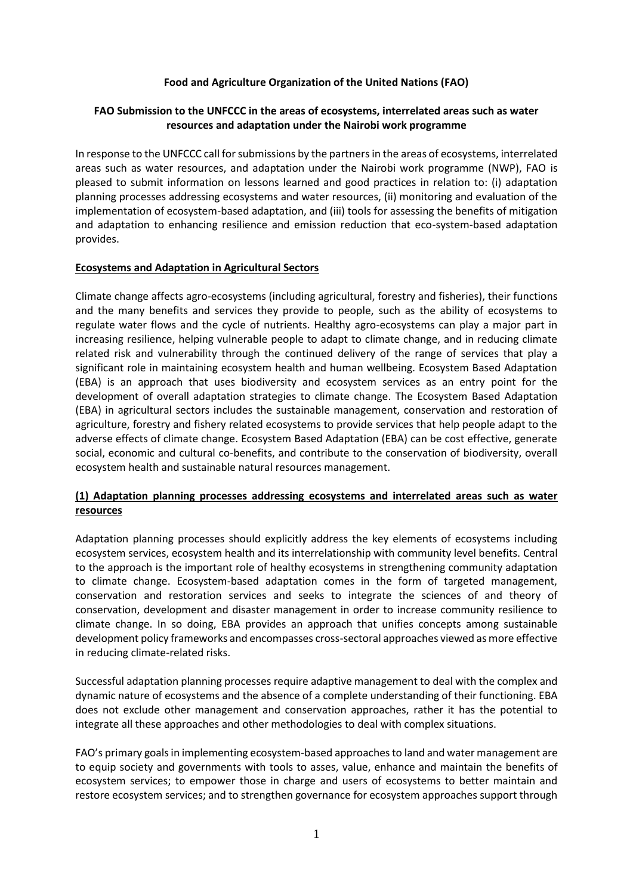#### **Food and Agriculture Organization of the United Nations (FAO)**

#### **FAO Submission to the UNFCCC in the areas of ecosystems, interrelated areas such as water resources and adaptation under the Nairobi work programme**

In response to the UNFCCC call for submissions by the partners in the areas of ecosystems, interrelated areas such as water resources, and adaptation under the Nairobi work programme (NWP), FAO is pleased to submit information on lessons learned and good practices in relation to: (i) adaptation planning processes addressing ecosystems and water resources, (ii) monitoring and evaluation of the implementation of ecosystem-based adaptation, and (iii) tools for assessing the benefits of mitigation and adaptation to enhancing resilience and emission reduction that eco-system-based adaptation provides.

#### **Ecosystems and Adaptation in Agricultural Sectors**

Climate change affects agro-ecosystems (including agricultural, forestry and fisheries), their functions and the many benefits and services they provide to people, such as the ability of ecosystems to regulate water flows and the cycle of nutrients. Healthy agro-ecosystems can play a major part in increasing resilience, helping vulnerable people to adapt to climate change, and in reducing climate related risk and vulnerability through the continued delivery of the range of services that play a significant role in maintaining ecosystem health and human wellbeing. Ecosystem Based Adaptation (EBA) is an approach that uses biodiversity and ecosystem services as an entry point for the development of overall adaptation strategies to climate change. The Ecosystem Based Adaptation (EBA) in agricultural sectors includes the sustainable management, conservation and restoration of agriculture, forestry and fishery related ecosystems to provide services that help people adapt to the adverse effects of climate change. Ecosystem Based Adaptation (EBA) can be cost effective, generate social, economic and cultural co-benefits, and contribute to the conservation of biodiversity, overall ecosystem health and sustainable natural resources management.

## **(1) Adaptation planning processes addressing ecosystems and interrelated areas such as water resources**

Adaptation planning processes should explicitly address the key elements of ecosystems including ecosystem services, ecosystem health and its interrelationship with community level benefits. Central to the approach is the important role of healthy ecosystems in strengthening community adaptation to climate change. Ecosystem-based adaptation comes in the form of targeted management, conservation and restoration services and seeks to integrate the sciences of and theory of conservation, development and disaster management in order to increase community resilience to climate change. In so doing, EBA provides an approach that unifies concepts among sustainable development policy frameworks and encompasses cross-sectoral approaches viewed as more effective in reducing climate-related risks.

Successful adaptation planning processes require adaptive management to deal with the complex and dynamic nature of ecosystems and the absence of a complete understanding of their functioning. EBA does not exclude other management and conservation approaches, rather it has the potential to integrate all these approaches and other methodologies to deal with complex situations.

FAO's primary goals in implementing ecosystem-based approaches to land and water management are to equip society and governments with tools to asses, value, enhance and maintain the benefits of ecosystem services; to empower those in charge and users of ecosystems to better maintain and restore ecosystem services; and to strengthen governance for ecosystem approaches support through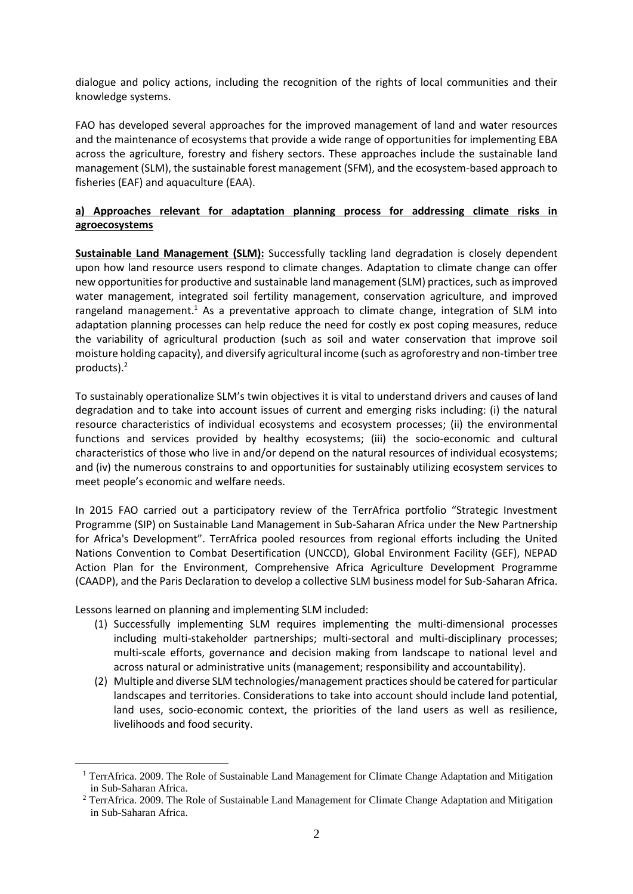dialogue and policy actions, including the recognition of the rights of local communities and their knowledge systems.

FAO has developed several approaches for the improved management of land and water resources and the maintenance of ecosystems that provide a wide range of opportunities for implementing EBA across the agriculture, forestry and fishery sectors. These approaches include the sustainable land management (SLM), the sustainable forest management (SFM), and the ecosystem-based approach to fisheries (EAF) and aquaculture (EAA).

## **a) Approaches relevant for adaptation planning process for addressing climate risks in agroecosystems**

**Sustainable Land Management (SLM):** Successfully tackling land degradation is closely dependent upon how land resource users respond to climate changes. Adaptation to climate change can offer new opportunities for productive and sustainable land management (SLM) practices, such as improved water management, integrated soil fertility management, conservation agriculture, and improved rangeland management.<sup>1</sup> As a preventative approach to climate change, integration of SLM into adaptation planning processes can help reduce the need for costly ex post coping measures, reduce the variability of agricultural production (such as soil and water conservation that improve soil moisture holding capacity), and diversify agricultural income (such as agroforestry and non-timber tree products).<sup>2</sup>

To sustainably operationalize SLM's twin objectives it is vital to understand drivers and causes of land degradation and to take into account issues of current and emerging risks including: (i) the natural resource characteristics of individual ecosystems and ecosystem processes; (ii) the environmental functions and services provided by healthy ecosystems; (iii) the socio-economic and cultural characteristics of those who live in and/or depend on the natural resources of individual ecosystems; and (iv) the numerous constrains to and opportunities for sustainably utilizing ecosystem services to meet people's economic and welfare needs.

In 2015 FAO carried out a participatory review of the TerrAfrica portfolio "Strategic Investment Programme (SIP) on Sustainable Land Management in Sub-Saharan Africa under the New Partnership for Africa's Development". TerrAfrica pooled resources from regional efforts including the United Nations Convention to Combat Desertification (UNCCD), Global Environment Facility (GEF), NEPAD Action Plan for the Environment, Comprehensive Africa Agriculture Development Programme (CAADP), and the Paris Declaration to develop a collective SLM business model for Sub-Saharan Africa.

Lessons learned on planning and implementing SLM included:

- (1) Successfully implementing SLM requires implementing the multi-dimensional processes including multi-stakeholder partnerships; multi-sectoral and multi-disciplinary processes; multi-scale efforts, governance and decision making from landscape to national level and across natural or administrative units (management; responsibility and accountability).
- (2) Multiple and diverse SLM technologies/management practices should be catered for particular landscapes and territories. Considerations to take into account should include land potential, land uses, socio-economic context, the priorities of the land users as well as resilience, livelihoods and food security.

<sup>&</sup>lt;sup>1</sup> TerrAfrica. 2009. The Role of Sustainable Land Management for Climate Change Adaptation and Mitigation in Sub-Saharan Africa.

<sup>&</sup>lt;sup>2</sup> TerrAfrica. 2009. The Role of Sustainable Land Management for Climate Change Adaptation and Mitigation in Sub-Saharan Africa.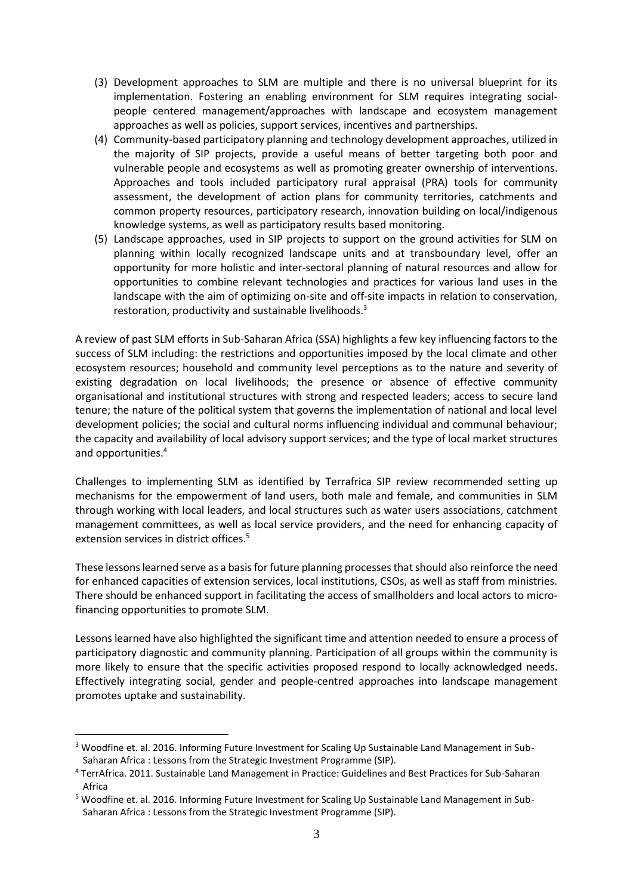- (3) Development approaches to SLM are multiple and there is no universal blueprint for its implementation. Fostering an enabling environment for SLM requires integrating socialpeople centered management/approaches with landscape and ecosystem management approaches as well as policies, support services, incentives and partnerships.
- (4) Community-based participatory planning and technology development approaches, utilized in the majority of SIP projects, provide a useful means of better targeting both poor and vulnerable people and ecosystems as well as promoting greater ownership of interventions. Approaches and tools included participatory rural appraisal (PRA) tools for community assessment, the development of action plans for community territories, catchments and common property resources, participatory research, innovation building on local/indigenous knowledge systems, as well as participatory results based monitoring.
- (5) Landscape approaches, used in SIP projects to support on the ground activities for SLM on planning within locally recognized landscape units and at transboundary level, offer an opportunity for more holistic and inter-sectoral planning of natural resources and allow for opportunities to combine relevant technologies and practices for various land uses in the landscape with the aim of optimizing on-site and off-site impacts in relation to conservation, restoration, productivity and sustainable livelihoods.<sup>3</sup>

A review of past SLM efforts in Sub-Saharan Africa (SSA) highlights a few key influencing factors to the success of SLM including: the restrictions and opportunities imposed by the local climate and other ecosystem resources; household and community level perceptions as to the nature and severity of existing degradation on local livelihoods; the presence or absence of effective community organisational and institutional structures with strong and respected leaders; access to secure land tenure; the nature of the political system that governs the implementation of national and local level development policies; the social and cultural norms influencing individual and communal behaviour; the capacity and availability of local advisory support services; and the type of local market structures and opportunities. 4

Challenges to implementing SLM as identified by Terrafrica SIP review recommended setting up mechanisms for the empowerment of land users, both male and female, and communities in SLM through working with local leaders, and local structures such as water users associations, catchment management committees, as well as local service providers, and the need for enhancing capacity of extension services in district offices.<sup>5</sup>

These lessons learned serve as a basis for future planning processes that should also reinforce the need for enhanced capacities of extension services, local institutions, CSOs, as well as staff from ministries. There should be enhanced support in facilitating the access of smallholders and local actors to microfinancing opportunities to promote SLM.

Lessons learned have also highlighted the significant time and attention needed to ensure a process of participatory diagnostic and community planning. Participation of all groups within the community is more likely to ensure that the specific activities proposed respond to locally acknowledged needs. Effectively integrating social, gender and people-centred approaches into landscape management promotes uptake and sustainability.

<sup>3</sup> Woodfine et. al. 2016. Informing Future Investment for Scaling Up Sustainable Land Management in Sub-Saharan Africa : Lessons from the Strategic Investment Programme (SIP).

<sup>4</sup> TerrAfrica. 2011. Sustainable Land Management in Practice: Guidelines and Best Practices for Sub-Saharan Africa

<sup>5</sup> Woodfine et. al. 2016. Informing Future Investment for Scaling Up Sustainable Land Management in Sub-Saharan Africa : Lessons from the Strategic Investment Programme (SIP).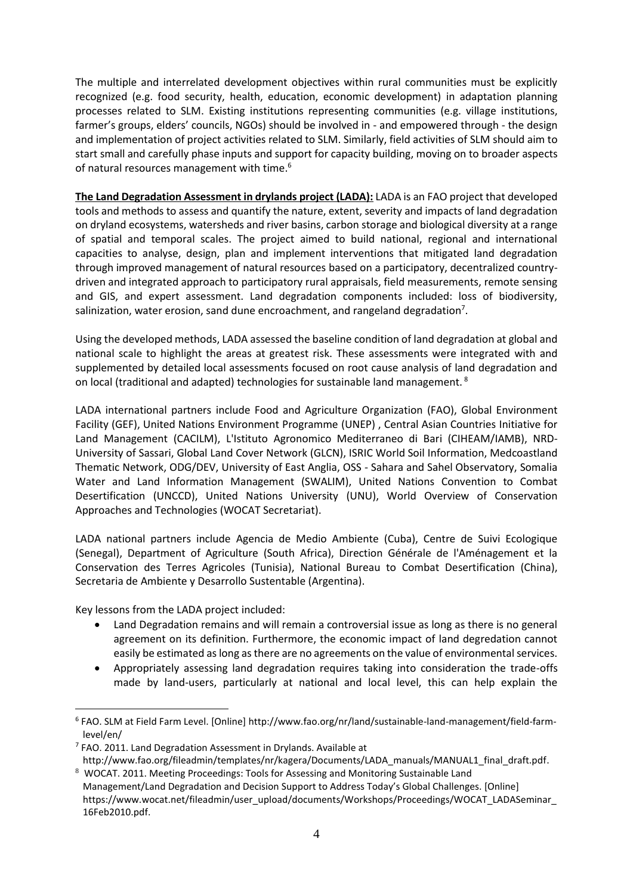The multiple and interrelated development objectives within rural communities must be explicitly recognized (e.g. food security, health, education, economic development) in adaptation planning processes related to SLM. Existing institutions representing communities (e.g. village institutions, farmer's groups, elders' councils, NGOs) should be involved in - and empowered through - the design and implementation of project activities related to SLM. Similarly, field activities of SLM should aim to start small and carefully phase inputs and support for capacity building, moving on to broader aspects of natural resources management with time. $^6$ 

**The Land Degradation Assessment in drylands project (LADA):** LADA is an FAO project that developed tools and methods to assess and quantify the nature, extent, severity and impacts of land degradation on dryland ecosystems, watersheds and river basins, carbon storage and biological diversity at a range of spatial and temporal scales. The project aimed to build national, regional and international capacities to analyse, design, plan and implement interventions that mitigated land degradation through improved management of natural resources based on a participatory, decentralized countrydriven and integrated approach to participatory rural appraisals, field measurements, remote sensing and GIS, and expert assessment. Land degradation components included: loss of biodiversity, salinization, water erosion, sand dune encroachment, and rangeland degradation<sup>7</sup>.

Using the developed methods, LADA assessed the baseline condition of land degradation at global and national scale to highlight the areas at greatest risk. These assessments were integrated with and supplemented by detailed local assessments focused on root cause analysis of land degradation and on local (traditional and adapted) technologies for sustainable land management. <sup>8</sup>

LADA international partners include Food and Agriculture Organization (FAO), Global Environment Facility (GEF), United Nations Environment Programme (UNEP) , Central Asian Countries Initiative for Land Management (CACILM), L'Istituto Agronomico Mediterraneo di Bari (CIHEAM/IAMB), NRD-University of Sassari, Global Land Cover Network (GLCN), ISRIC World Soil Information, Medcoastland Thematic Network, ODG/DEV, University of East Anglia, OSS - Sahara and Sahel Observatory, Somalia Water and Land Information Management (SWALIM), United Nations Convention to Combat Desertification (UNCCD), United Nations University (UNU), World Overview of Conservation Approaches and Technologies (WOCAT Secretariat).

LADA national partners include Agencia de Medio Ambiente (Cuba), Centre de Suivi Ecologique (Senegal), Department of Agriculture (South Africa), Direction Générale de l'Aménagement et la Conservation des Terres Agricoles (Tunisia), National Bureau to Combat Desertification (China), Secretaria de Ambiente y Desarrollo Sustentable (Argentina).

Key lessons from the LADA project included:

- Land Degradation remains and will remain a controversial issue as long as there is no general agreement on its definition. Furthermore, the economic impact of land degredation cannot easily be estimated as long as there are no agreements on the value of environmental services.
- Appropriately assessing land degradation requires taking into consideration the trade-offs made by land-users, particularly at national and local level, this can help explain the

<sup>6</sup> FAO. SLM at Field Farm Level. [Online] http://www.fao.org/nr/land/sustainable-land-management/field-farmlevel/en/

<sup>&</sup>lt;sup>7</sup> FAO. 2011. Land Degradation Assessment in Drylands. Available at

http://www.fao.org/fileadmin/templates/nr/kagera/Documents/LADA\_manuals/MANUAL1\_final\_draft.pdf.

<sup>8</sup> WOCAT. 2011. Meeting Proceedings: Tools for Assessing and Monitoring Sustainable Land Management/Land Degradation and Decision Support to Address Today's Global Challenges. [Online] [https://www.wocat.net/fileadmin/user\\_upload/documents/Workshops/Proceedings/WOCAT\\_LADASeminar\\_](https://www.wocat.net/fileadmin/user_upload/documents/Workshops/Proceedings/WOCAT_LADASeminar_16Feb2010.pdf) [16Feb2010.pdf.](https://www.wocat.net/fileadmin/user_upload/documents/Workshops/Proceedings/WOCAT_LADASeminar_16Feb2010.pdf)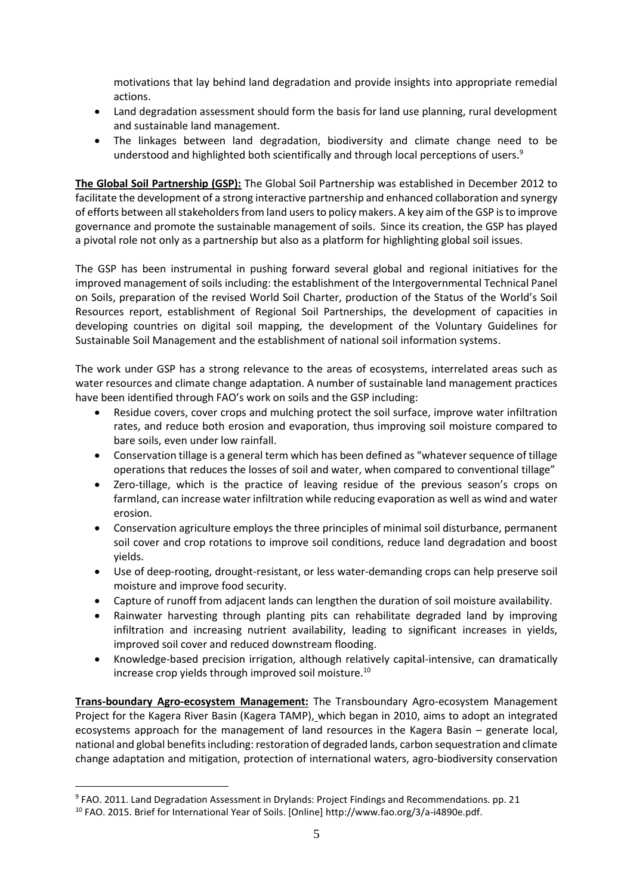motivations that lay behind land degradation and provide insights into appropriate remedial actions.

- Land degradation assessment should form the basis for land use planning, rural development and sustainable land management.
- The linkages between land degradation, biodiversity and climate change need to be understood and highlighted both scientifically and through local perceptions of users.<sup>9</sup>

**The Global Soil Partnership (GSP):** The Global Soil Partnership was established in December 2012 to facilitate the development of a strong interactive partnership and enhanced collaboration and synergy of efforts between all stakeholders from land users to policy makers. A key aim of the GSP is to improve governance and promote the sustainable management of soils. Since its creation, the GSP has played a pivotal role not only as a partnership but also as a platform for highlighting global soil issues.

The GSP has been instrumental in pushing forward several global and regional initiatives for the improved management of soils including: the establishment of the Intergovernmental Technical Panel on Soils, preparation of the revised World Soil Charter, production of the Status of the World's Soil Resources report, establishment of Regional Soil Partnerships, the development of capacities in developing countries on digital soil mapping, the development of the Voluntary Guidelines for Sustainable Soil Management and the establishment of national soil information systems.

The work under GSP has a strong relevance to the areas of ecosystems, interrelated areas such as water resources and climate change adaptation. A number of sustainable land management practices have been identified through FAO's work on soils and the GSP including:

- Residue covers, cover crops and mulching protect the soil surface, improve water infiltration rates, and reduce both erosion and evaporation, thus improving soil moisture compared to bare soils, even under low rainfall.
- Conservation tillage is a general term which has been defined as "whatever sequence of tillage operations that reduces the losses of soil and water, when compared to conventional tillage"
- Zero-tillage, which is the practice of leaving residue of the previous season's crops on farmland, can increase water infiltration while reducing evaporation as well as wind and water erosion.
- Conservation agriculture employs the three principles of minimal soil disturbance, permanent soil cover and crop rotations to improve soil conditions, reduce land degradation and boost yields.
- Use of deep-rooting, drought-resistant, or less water-demanding crops can help preserve soil moisture and improve food security.
- Capture of runoff from adjacent lands can lengthen the duration of soil moisture availability.
- Rainwater harvesting through planting pits can rehabilitate degraded land by improving infiltration and increasing nutrient availability, leading to significant increases in yields, improved soil cover and reduced downstream flooding.
- Knowledge-based precision irrigation, although relatively capital-intensive, can dramatically increase crop yields through improved soil moisture.<sup>10</sup>

**Trans-boundary Agro-ecosystem Management:** The Transboundary Agro-ecosystem Management Project for the Kagera River Basin (Kagera TAMP), which began in 2010, aims to adopt an integrated ecosystems approach for the management of land resources in the Kagera Basin – generate local, national and global benefits including: restoration of degraded lands, carbon sequestration and climate change adaptation and mitigation, protection of international waters, agro-biodiversity conservation

<sup>9</sup> FAO. 2011. Land Degradation Assessment in Drylands: Project Findings and Recommendations. pp. 21

<sup>10</sup> FAO. 2015. Brief for International Year of Soils. [Online] http://www.fao.org/3/a-i4890e.pdf.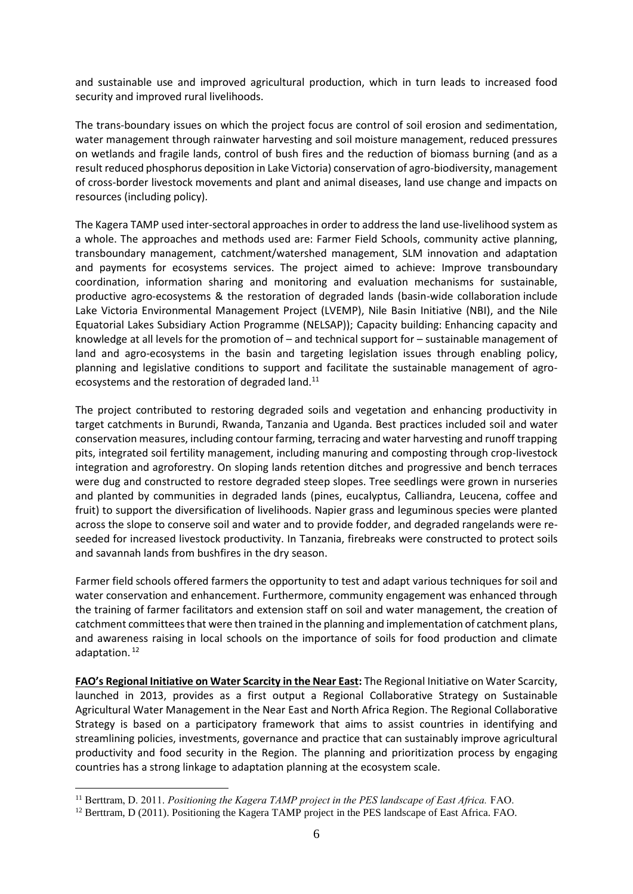and sustainable use and improved agricultural production, which in turn leads to increased food security and improved rural livelihoods.

The trans-boundary issues on which the project focus are control of soil erosion and sedimentation, water management through rainwater harvesting and soil moisture management, reduced pressures on wetlands and fragile lands, control of bush fires and the reduction of biomass burning (and as a result reduced phosphorus deposition in Lake Victoria) conservation of agro-biodiversity, management of cross-border livestock movements and plant and animal diseases, land use change and impacts on resources (including policy).

The Kagera TAMP used inter-sectoral approaches in order to address the land use-livelihood system as a whole. The approaches and methods used are: Farmer Field Schools, community active planning, transboundary management, catchment/watershed management, SLM innovation and adaptation and payments for ecosystems services. The project aimed to achieve: Improve transboundary coordination, information sharing and monitoring and evaluation mechanisms for sustainable, productive agro-ecosystems & the restoration of degraded lands (basin-wide collaboration include Lake Victoria Environmental Management Project (LVEMP), Nile Basin Initiative (NBI), and the Nile Equatorial Lakes Subsidiary Action Programme (NELSAP)); Capacity building: Enhancing capacity and knowledge at all levels for the promotion of – and technical support for – sustainable management of land and agro-ecosystems in the basin and targeting legislation issues through enabling policy, planning and legislative conditions to support and facilitate the sustainable management of agroecosystems and the restoration of degraded land.<sup>11</sup>

The project contributed to restoring degraded soils and vegetation and enhancing productivity in target catchments in Burundi, Rwanda, Tanzania and Uganda. Best practices included soil and water conservation measures, including contour farming, terracing and water harvesting and runoff trapping pits, integrated soil fertility management, including manuring and composting through crop-livestock integration and agroforestry. On sloping lands retention ditches and progressive and bench terraces were dug and constructed to restore degraded steep slopes. Tree seedlings were grown in nurseries and planted by communities in degraded lands (pines, eucalyptus, Calliandra, Leucena, coffee and fruit) to support the diversification of livelihoods. Napier grass and leguminous species were planted across the slope to conserve soil and water and to provide fodder, and degraded rangelands were reseeded for increased livestock productivity. In Tanzania, firebreaks were constructed to protect soils and savannah lands from bushfires in the dry season.

Farmer field schools offered farmers the opportunity to test and adapt various techniques for soil and water conservation and enhancement. Furthermore, community engagement was enhanced through the training of farmer facilitators and extension staff on soil and water management, the creation of catchment committees that were then trained in the planning and implementation of catchment plans, and awareness raising in local schools on the importance of soils for food production and climate adaptation. 12

**FAO's Regional Initiative on Water Scarcity in the Near East:** The Regional Initiative on Water Scarcity, launched in 2013, provides as a first output a Regional Collaborative Strategy on Sustainable Agricultural Water Management in the Near East and North Africa Region. The Regional Collaborative Strategy is based on a participatory framework that aims to assist countries in identifying and streamlining policies, investments, governance and practice that can sustainably improve agricultural productivity and food security in the Region. The planning and prioritization process by engaging countries has a strong linkage to adaptation planning at the ecosystem scale.

<sup>11</sup> Berttram, D. 2011. *Positioning the Kagera TAMP project in the PES landscape of East Africa.* FAO.

<sup>&</sup>lt;sup>12</sup> Berttram, D (2011). Positioning the Kagera TAMP project in the PES landscape of East Africa. FAO.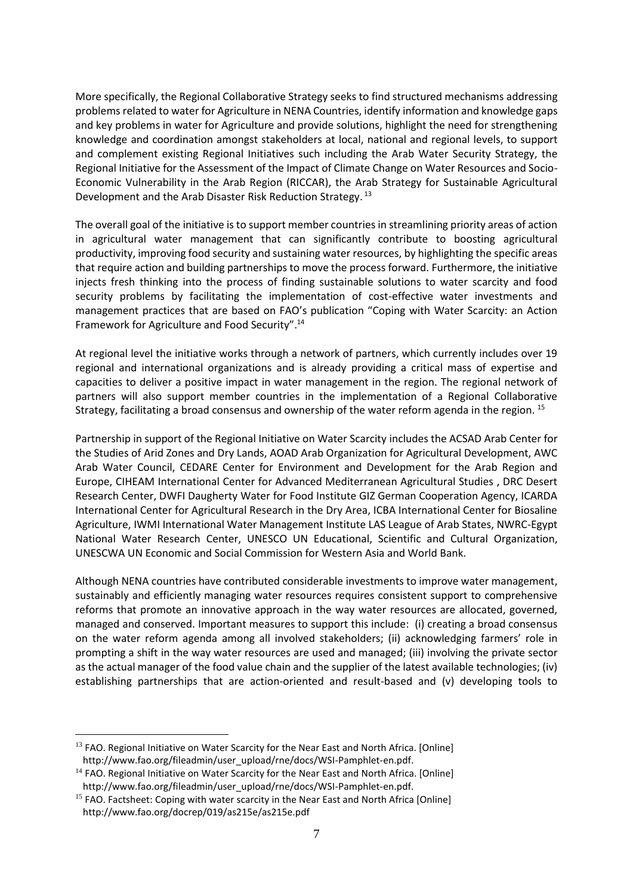More specifically, the Regional Collaborative Strategy seeks to find structured mechanisms addressing problems related to water for Agriculture in NENA Countries, identify information and knowledge gaps and key problems in water for Agriculture and provide solutions, highlight the need for strengthening knowledge and coordination amongst stakeholders at local, national and regional levels, to support and complement existing Regional Initiatives such including the Arab Water Security Strategy, the Regional Initiative for the Assessment of the Impact of Climate Change on Water Resources and Socio-Economic Vulnerability in the Arab Region (RICCAR), the Arab Strategy for Sustainable Agricultural Development and the Arab Disaster Risk Reduction Strategy. 13

The overall goal of the initiative is to support member countries in streamlining priority areas of action in agricultural water management that can significantly contribute to boosting agricultural productivity, improving food security and sustaining water resources, by highlighting the specific areas that require action and building partnerships to move the process forward. Furthermore, the initiative injects fresh thinking into the process of finding sustainable solutions to water scarcity and food security problems by facilitating the implementation of cost-effective water investments and management practices that are based on FAO's publication "Coping with Water Scarcity: an Action Framework for Agriculture and Food Security". 14

At regional level the initiative works through a network of partners, which currently includes over 19 regional and international organizations and is already providing a critical mass of expertise and capacities to deliver a positive impact in water management in the region. The regional network of partners will also support member countries in the implementation of a Regional Collaborative Strategy, facilitating a broad consensus and ownership of the water reform agenda in the region. <sup>15</sup>

Partnership in support of the Regional Initiative on Water Scarcity includes the ACSAD Arab Center for the Studies of Arid Zones and Dry Lands, AOAD Arab Organization for Agricultural Development, AWC Arab Water Council, CEDARE Center for Environment and Development for the Arab Region and Europe, CIHEAM International Center for Advanced Mediterranean Agricultural Studies , DRC Desert Research Center, DWFI Daugherty Water for Food Institute GIZ German Cooperation Agency, ICARDA International Center for Agricultural Research in the Dry Area, ICBA International Center for Biosaline Agriculture, IWMI International Water Management Institute LAS League of Arab States, NWRC-Egypt National Water Research Center, UNESCO UN Educational, Scientific and Cultural Organization, UNESCWA UN Economic and Social Commission for Western Asia and World Bank.

Although NENA countries have contributed considerable investments to improve water management, sustainably and efficiently managing water resources requires consistent support to comprehensive reforms that promote an innovative approach in the way water resources are allocated, governed, managed and conserved. Important measures to support this include: (i) creating a broad consensus on the water reform agenda among all involved stakeholders; (ii) acknowledging farmers' role in prompting a shift in the way water resources are used and managed; (iii) involving the private sector as the actual manager of the food value chain and the supplier of the latest available technologies; (iv) establishing partnerships that are action-oriented and result-based and (v) developing tools to

<sup>&</sup>lt;sup>13</sup> FAO. Regional Initiative on Water Scarcity for the Near East and North Africa. [Online] http://www.fao.org/fileadmin/user\_upload/rne/docs/WSI-Pamphlet-en.pdf.

<sup>&</sup>lt;sup>14</sup> FAO. Regional Initiative on Water Scarcity for the Near East and North Africa. [Online] http://www.fao.org/fileadmin/user\_upload/rne/docs/WSI-Pamphlet-en.pdf.

<sup>&</sup>lt;sup>15</sup> FAO. Factsheet: Coping with water scarcity in the Near East and North Africa [Online] http://www.fao.org/docrep/019/as215e/as215e.pdf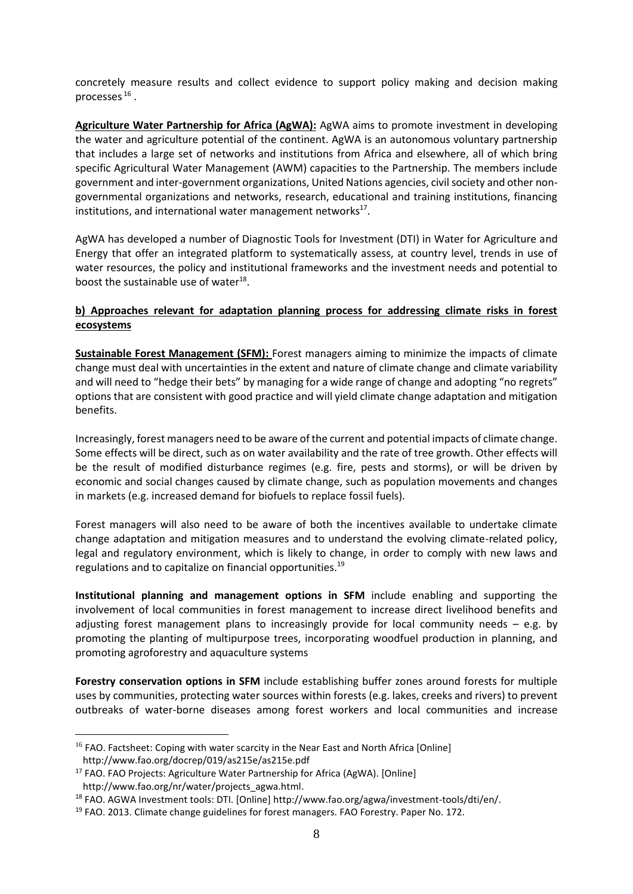concretely measure results and collect evidence to support policy making and decision making processes  $^{16}$  .

**Agriculture Water Partnership for Africa (AgWA):** AgWA aims to promote investment in developing the water and agriculture potential of the continent. AgWA is an autonomous voluntary partnership that includes a large set of networks and institutions from Africa and elsewhere, all of which bring specific Agricultural Water Management (AWM) capacities to the Partnership. The members include government and inter-government organizations, United Nations agencies, civil society and other nongovernmental organizations and networks, research, educational and training institutions, financing institutions, and international water management networks<sup>17</sup>.

AgWA has developed a number of Diagnostic Tools for Investment (DTI) in Water for Agriculture and Energy that offer an integrated platform to systematically assess, at country level, trends in use of water resources, the policy and institutional frameworks and the investment needs and potential to boost the sustainable use of water $^{18}$ .

#### **b) Approaches relevant for adaptation planning process for addressing climate risks in forest ecosystems**

**Sustainable Forest Management (SFM):** Forest managers aiming to minimize the impacts of climate change must deal with uncertainties in the extent and nature of climate change and climate variability and will need to "hedge their bets" by managing for a wide range of change and adopting "no regrets" options that are consistent with good practice and will yield climate change adaptation and mitigation benefits.

Increasingly, forest managers need to be aware of the current and potential impacts of climate change. Some effects will be direct, such as on water availability and the rate of tree growth. Other effects will be the result of modified disturbance regimes (e.g. fire, pests and storms), or will be driven by economic and social changes caused by climate change, such as population movements and changes in markets (e.g. increased demand for biofuels to replace fossil fuels).

Forest managers will also need to be aware of both the incentives available to undertake climate change adaptation and mitigation measures and to understand the evolving climate-related policy, legal and regulatory environment, which is likely to change, in order to comply with new laws and regulations and to capitalize on financial opportunities. 19

**Institutional planning and management options in SFM** include enabling and supporting the involvement of local communities in forest management to increase direct livelihood benefits and adjusting forest management plans to increasingly provide for local community needs  $-$  e.g. by promoting the planting of multipurpose trees, incorporating woodfuel production in planning, and promoting agroforestry and aquaculture systems

**Forestry conservation options in SFM** include establishing buffer zones around forests for multiple uses by communities, protecting water sources within forests (e.g. lakes, creeks and rivers) to prevent outbreaks of water-borne diseases among forest workers and local communities and increase

<sup>&</sup>lt;sup>16</sup> FAO. Factsheet: Coping with water scarcity in the Near East and North Africa [Online] http://www.fao.org/docrep/019/as215e/as215e.pdf

<sup>&</sup>lt;sup>17</sup> FAO. FAO Projects: Agriculture Water Partnership for Africa (AgWA). [Online] http://www.fao.org/nr/water/projects\_agwa.html.

<sup>18</sup> FAO. AGWA Investment tools: DTI. [Online] http://www.fao.org/agwa/investment-tools/dti/en/.

<sup>&</sup>lt;sup>19</sup> FAO. 2013. Climate change guidelines for forest managers. FAO Forestry. Paper No. 172.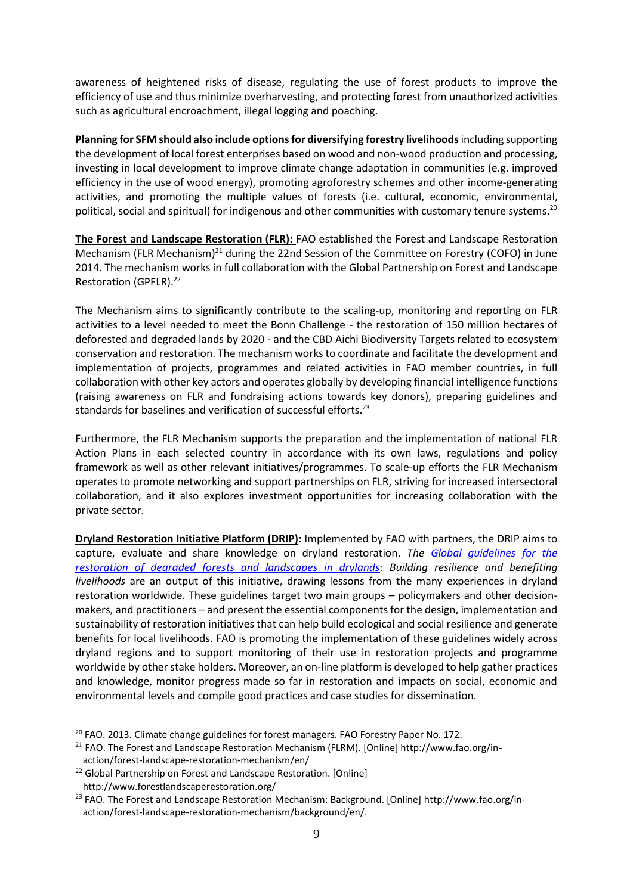awareness of heightened risks of disease, regulating the use of forest products to improve the efficiency of use and thus minimize overharvesting, and protecting forest from unauthorized activities such as agricultural encroachment, illegal logging and poaching.

**Planning for SFM should also include options for diversifying forestry livelihoods** including supporting the development of local forest enterprises based on wood and non-wood production and processing, investing in local development to improve climate change adaptation in communities (e.g. improved efficiency in the use of wood energy), promoting agroforestry schemes and other income-generating activities, and promoting the multiple values of forests (i.e. cultural, economic, environmental, political, social and spiritual) for indigenous and other communities with customary tenure systems. $^{20}$ 

**The Forest and Landscape Restoration (FLR):** FAO established the Forest and Landscape Restoration Mechanism (FLR Mechanism)<sup>21</sup> during the 22nd Session of the Committee on Forestry (COFO) in June 2014. The mechanism works in full collaboration with the Global Partnership on Forest and Landscape Restoration (GPFLR). 22

The Mechanism aims to significantly contribute to the scaling-up, monitoring and reporting on FLR activities to a level needed to meet the Bonn Challenge - the restoration of 150 million hectares of deforested and degraded lands by 2020 - and the CBD Aichi Biodiversity Targets related to ecosystem conservation and restoration. The mechanism works to coordinate and facilitate the development and implementation of projects, programmes and related activities in FAO member countries, in full collaboration with other key actors and operates globally by developing financial intelligence functions (raising awareness on FLR and fundraising actions towards key donors), preparing guidelines and standards for baselines and verification of successful efforts.<sup>23</sup>

Furthermore, the FLR Mechanism supports the preparation and the implementation of national FLR Action Plans in each selected country in accordance with its own laws, regulations and policy framework as well as other relevant initiatives/programmes. To scale-up efforts the FLR Mechanism operates to promote networking and support partnerships on FLR, striving for increased intersectoral collaboration, and it also explores investment opportunities for increasing collaboration with the private sector.

**Dryland Restoration Initiative Platform (DRIP):** Implemented by FAO with partners, the DRIP aims to capture, evaluate and share knowledge on dryland restoration. *The [Global guidelines for the](http://www.fao.org/3/a-i5036e.pdf)  [restoration of degraded forests and landscapes in drylands:](http://www.fao.org/3/a-i5036e.pdf) Building resilience and benefiting livelihoods* are an output of this initiative, drawing lessons from the many experiences in dryland restoration worldwide. These guidelines target two main groups – policymakers and other decisionmakers, and practitioners – and present the essential components for the design, implementation and sustainability of restoration initiatives that can help build ecological and social resilience and generate benefits for local livelihoods. FAO is promoting the implementation of these guidelines widely across dryland regions and to support monitoring of their use in restoration projects and programme worldwide by other stake holders. Moreover, an on-line platform is developed to help gather practices and knowledge, monitor progress made so far in restoration and impacts on social, economic and environmental levels and compile good practices and case studies for dissemination.

<sup>&</sup>lt;sup>20</sup> FAO. 2013. Climate change guidelines for forest managers. FAO Forestry Paper No. 172.

<sup>&</sup>lt;sup>21</sup> FAO. The Forest and Landscape Restoration Mechanism (FLRM). [Online] http://www.fao.org/inaction/forest-landscape-restoration-mechanism/en/

<sup>&</sup>lt;sup>22</sup> Global Partnership on Forest and Landscape Restoration. [Online] http://www.forestlandscaperestoration.org/

<sup>&</sup>lt;sup>23</sup> FAO. The Forest and Landscape Restoration Mechanism: Background. [Online] http://www.fao.org/inaction/forest-landscape-restoration-mechanism/background/en/.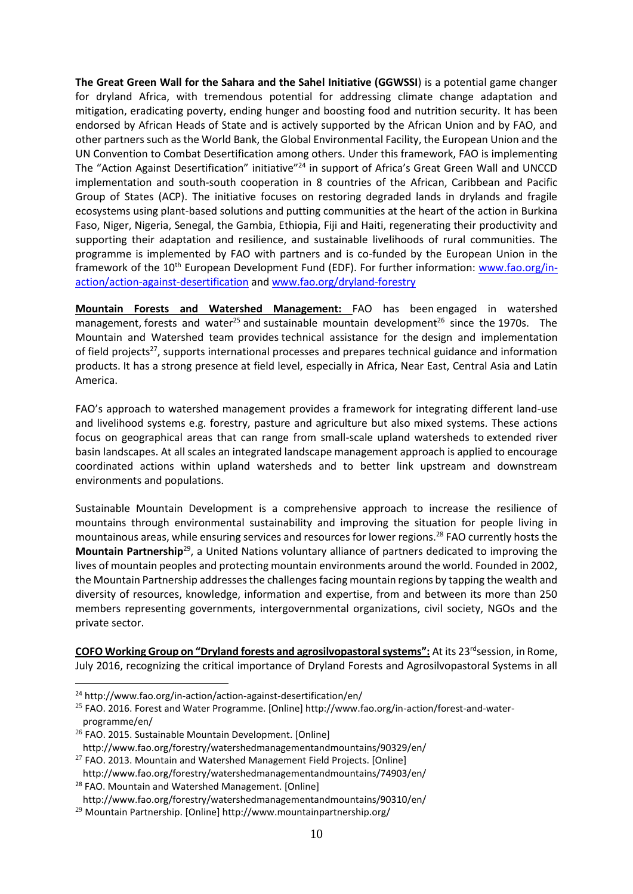**The Great Green Wall for the Sahara and the Sahel Initiative (GGWSSI**) is a potential game changer for dryland Africa, with tremendous potential for addressing climate change adaptation and mitigation, eradicating poverty, ending hunger and boosting food and nutrition security. It has been endorsed by African Heads of State and is actively supported by the African Union and by FAO, and other partners such as the World Bank, the Global Environmental Facility, the European Union and the UN Convention to Combat Desertification among others. Under this framework, FAO is implementing The "Action Against Desertification" initiative"<sup>24</sup> in support of Africa's Great Green Wall and UNCCD implementation and south-south cooperation in 8 countries of the African, Caribbean and Pacific Group of States (ACP). The initiative focuses on restoring degraded lands in drylands and fragile ecosystems using plant-based solutions and putting communities at the heart of the action in Burkina Faso, Niger, Nigeria, Senegal, the Gambia, Ethiopia, Fiji and Haiti, regenerating their productivity and supporting their adaptation and resilience, and sustainable livelihoods of rural communities. The programme is implemented by FAO with partners and is co-funded by the European Union in the framework of the 10<sup>th</sup> European Development Fund (EDF). For further information: [www.fao.org/in](http://www.fao.org/in-action/action-against-desertification)[action/action-against-desertification](http://www.fao.org/in-action/action-against-desertification) and [www.fao.org/dryland-forestry](http://www.fao.org/dryland-forestry)

**Mountain Forests and Watershed Management:** FAO has been engaged in watershed management, forests and water<sup>25</sup> and sustainable mountain development<sup>26</sup> since the 1970s. The Mountain and Watershed team provides technical assistance for the design and implementation of field projects<sup>27</sup>, supports international processes and prepares technical guidance and information products. It has a strong presence at field level, especially in Africa, Near East, Central Asia and Latin America.

FAO's approach to watershed management provides a framework for integrating different land-use and livelihood systems e.g. forestry, pasture and agriculture but also mixed systems. These actions focus on geographical areas that can range from small-scale upland watersheds to extended river basin landscapes. At all scales an integrated landscape management approach is applied to encourage coordinated actions within upland watersheds and to better link upstream and downstream environments and populations.

Sustainable Mountain Development is a comprehensive approach to increase the resilience of mountains through environmental sustainability and improving the situation for people living in mountainous areas, while ensuring services and resources for lower regions.<sup>28</sup> FAO currently hosts the **Mountain Partnership**<sup>29</sup> , a United Nations voluntary alliance of partners dedicated to improving the lives of mountain peoples and protecting mountain environments around the world. Founded in 2002, the Mountain Partnership addresses the challenges facing mountain regions by tapping the wealth and diversity of resources, knowledge, information and expertise, from and between its more than 250 members representing governments, intergovernmental organizations, civil society, NGOs and the private sector.

**COFO Working Group on "Dryland forests and agrosilvopastoral systems":** At its 23<sup>rd</sup> session, in Rome, July 2016, recognizing the critical importance of Dryland Forests and Agrosilvopastoral Systems in all

<sup>24</sup> http://www.fao.org/in-action/action-against-desertification/en/

<sup>25</sup> FAO. 2016. Forest and Water Programme. [Online] http://www.fao.org/in-action/forest-and-waterprogramme/en/

<sup>&</sup>lt;sup>26</sup> FAO. 2015. Sustainable Mountain Development. [Online]

http://www.fao.org/forestry/watershedmanagementandmountains/90329/en/

 $27$  FAO. 2013. Mountain and Watershed Management Field Projects. [Online]

http://www.fao.org/forestry/watershedmanagementandmountains/74903/en/ <sup>28</sup> FAO. Mountain and Watershed Management. [Online]

http://www.fao.org/forestry/watershedmanagementandmountains/90310/en/

<sup>29</sup> Mountain Partnership. [Online] http://www.mountainpartnership.org/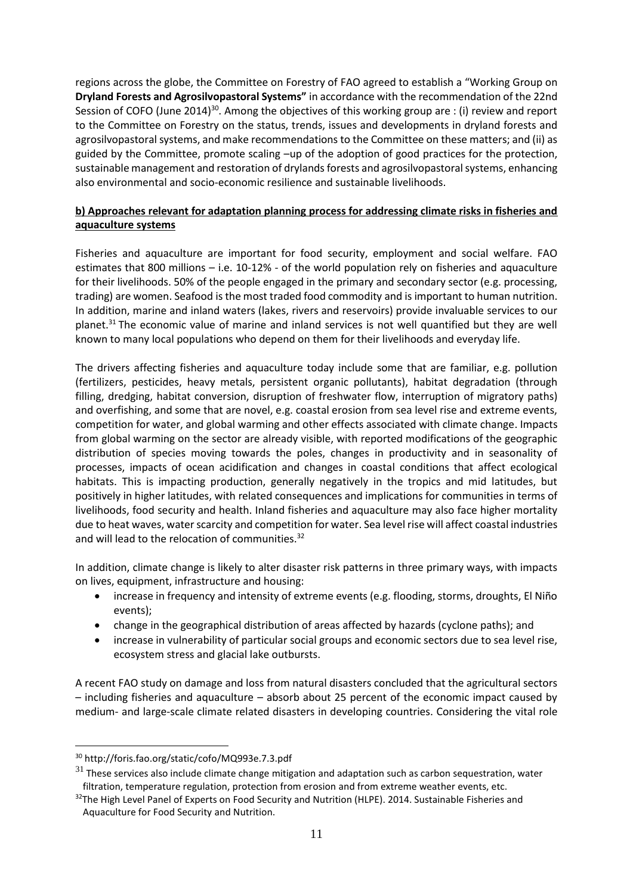regions across the globe, the Committee on Forestry of FAO agreed to establish a "Working Group on **Dryland Forests and Agrosilvopastoral Systems"** in accordance with the recommendation of the 22nd Session of COFO (June 2014)<sup>30</sup>. Among the objectives of this working group are : (i) review and report to the Committee on Forestry on the status, trends, issues and developments in dryland forests and agrosilvopastoral systems, and make recommendations to the Committee on these matters; and (ii) as guided by the Committee, promote scaling –up of the adoption of good practices for the protection, sustainable management and restoration of drylands forests and agrosilvopastoral systems, enhancing also environmental and socio-economic resilience and sustainable livelihoods.

## **b) Approaches relevant for adaptation planning process for addressing climate risks in fisheries and aquaculture systems**

Fisheries and aquaculture are important for food security, employment and social welfare. FAO estimates that 800 millions – i.e. 10-12% - of the world population rely on fisheries and aquaculture for their livelihoods. 50% of the people engaged in the primary and secondary sector (e.g. processing, trading) are women. Seafood is the most traded food commodity and is important to human nutrition. In addition, marine and inland waters (lakes, rivers and reservoirs) provide invaluable services to our planet.<sup>31</sup> The economic value of marine and inland services is not well quantified but they are well known to many local populations who depend on them for their livelihoods and everyday life.

The drivers affecting fisheries and aquaculture today include some that are familiar, e.g. pollution (fertilizers, pesticides, heavy metals, persistent organic pollutants), habitat degradation (through filling, dredging, habitat conversion, disruption of freshwater flow, interruption of migratory paths) and overfishing, and some that are novel, e.g. coastal erosion from sea level rise and extreme events, competition for water, and global warming and other effects associated with climate change. Impacts from global warming on the sector are already visible, with reported modifications of the geographic distribution of species moving towards the poles, changes in productivity and in seasonality of processes, impacts of ocean acidification and changes in coastal conditions that affect ecological habitats. This is impacting production, generally negatively in the tropics and mid latitudes, but positively in higher latitudes, with related consequences and implications for communities in terms of livelihoods, food security and health. Inland fisheries and aquaculture may also face higher mortality due to heat waves, water scarcity and competition for water. Sea level rise will affect coastal industries and will lead to the relocation of communities.<sup>32</sup>

In addition, climate change is likely to alter disaster risk patterns in three primary ways, with impacts on lives, equipment, infrastructure and housing:

- increase in frequency and intensity of extreme events (e.g. flooding, storms, droughts, El Niño events);
- change in the geographical distribution of areas affected by hazards (cyclone paths); and
- increase in vulnerability of particular social groups and economic sectors due to sea level rise, ecosystem stress and glacial lake outbursts.

A recent FAO study on damage and loss from natural disasters concluded that the agricultural sectors – including fisheries and aquaculture – absorb about 25 percent of the economic impact caused by medium- and large-scale climate related disasters in developing countries. Considering the vital role

<sup>30</sup> http://foris.fao.org/static/cofo/MQ993e.7.3.pdf

 $31$  These services also include climate change mitigation and adaptation such as carbon sequestration, water filtration, temperature regulation, protection from erosion and from extreme weather events, etc.

<sup>&</sup>lt;sup>32</sup>The High Level Panel of Experts on Food Security and Nutrition (HLPE). 2014. Sustainable Fisheries and Aquaculture for Food Security and Nutrition.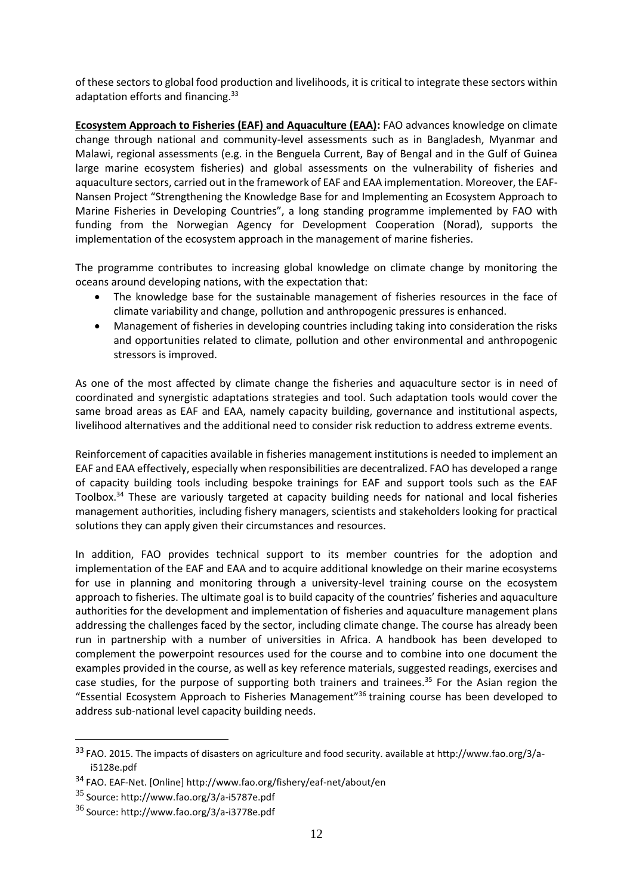of these sectors to global food production and livelihoods, it is critical to integrate these sectors within adaptation efforts and financing.<sup>33</sup>

**Ecosystem Approach to Fisheries (EAF) and Aquaculture (EAA):** FAO advances knowledge on climate change through national and community-level assessments such as in Bangladesh, Myanmar and Malawi, regional assessments (e.g. in the Benguela Current, Bay of Bengal and in the Gulf of Guinea large marine ecosystem fisheries) and global assessments on the vulnerability of fisheries and aquaculture sectors, carried out in the framework of EAF and EAA implementation. Moreover, the EAF-Nansen Project "Strengthening the Knowledge Base for and Implementing an Ecosystem Approach to Marine Fisheries in Developing Countries", a long standing programme implemented by FAO with funding from the Norwegian Agency for Development Cooperation (Norad), supports the implementation of the ecosystem approach in the management of marine fisheries.

The programme contributes to increasing global knowledge on climate change by monitoring the oceans around developing nations, with the expectation that:

- The knowledge base for the sustainable management of fisheries resources in the face of climate variability and change, pollution and anthropogenic pressures is enhanced.
- Management of fisheries in developing countries including taking into consideration the risks and opportunities related to climate, pollution and other environmental and anthropogenic stressors is improved.

As one of the most affected by climate change the fisheries and aquaculture sector is in need of coordinated and synergistic adaptations strategies and tool. Such adaptation tools would cover the same broad areas as EAF and EAA, namely capacity building, governance and institutional aspects, livelihood alternatives and the additional need to consider risk reduction to address extreme events.

Reinforcement of capacities available in fisheries management institutions is needed to implement an EAF and EAA effectively, especially when responsibilities are decentralized. FAO has developed a range of capacity building tools including bespoke trainings for EAF and support tools such as the EAF Toolbox.<sup>34</sup> These are variously targeted at capacity building needs for national and local fisheries management authorities, including fishery managers, scientists and stakeholders looking for practical solutions they can apply given their circumstances and resources.

In addition, FAO provides technical support to its member countries for the adoption and implementation of the EAF and EAA and to acquire additional knowledge on their marine ecosystems for use in planning and monitoring through a university-level training course on the ecosystem approach to fisheries. The ultimate goal is to build capacity of the countries' fisheries and aquaculture authorities for the development and implementation of fisheries and aquaculture management plans addressing the challenges faced by the sector, including climate change. The course has already been run in partnership with a number of universities in Africa. A handbook has been developed to complement the powerpoint resources used for the course and to combine into one document the examples provided in the course, as well as key reference materials, suggested readings, exercises and case studies, for the purpose of supporting both trainers and trainees.<sup>35</sup> For the Asian region the "Essential Ecosystem Approach to Fisheries Management"<sup>36</sup> training course has been developed to address sub-national level capacity building needs.

<sup>33</sup> FAO. 2015. The impacts of disasters on agriculture and food security. available at http://www.fao.org/3/ai5128e.pdf

<sup>34</sup> FAO. EAF-Net. [Online] http://www.fao.org/fishery/eaf-net/about/en

 $35$  Source: http://www.fao.org/3/a-i5787e.pdf

 $36$  Source[: http://www.fao.org/3/a-i3778e.pdf](http://www.fao.org/3/a-i3778e.pdf)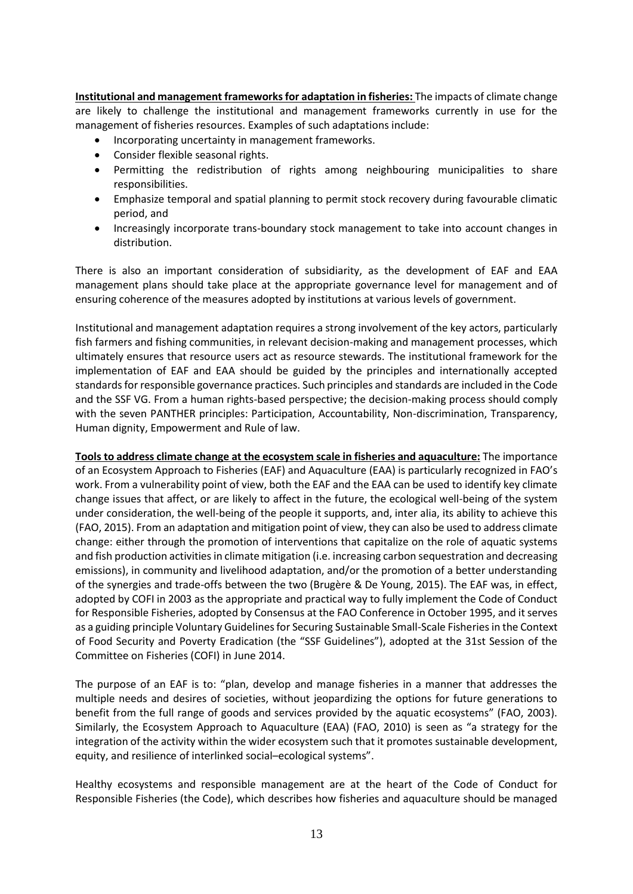**Institutional and management frameworks for adaptation in fisheries:** The impacts of climate change are likely to challenge the institutional and management frameworks currently in use for the management of fisheries resources. Examples of such adaptations include:

- Incorporating uncertainty in management frameworks.
- Consider flexible seasonal rights.
- Permitting the redistribution of rights among neighbouring municipalities to share responsibilities.
- Emphasize temporal and spatial planning to permit stock recovery during favourable climatic period, and
- Increasingly incorporate trans-boundary stock management to take into account changes in distribution.

There is also an important consideration of subsidiarity, as the development of EAF and EAA management plans should take place at the appropriate governance level for management and of ensuring coherence of the measures adopted by institutions at various levels of government.

Institutional and management adaptation requires a strong involvement of the key actors, particularly fish farmers and fishing communities, in relevant decision-making and management processes, which ultimately ensures that resource users act as resource stewards. The institutional framework for the implementation of EAF and EAA should be guided by the principles and internationally accepted standards for responsible governance practices. Such principles and standards are included in the Code and the SSF VG. From a human rights-based perspective; the decision-making process should comply with the seven PANTHER principles: Participation, Accountability, Non-discrimination, Transparency, Human dignity, Empowerment and Rule of law.

**Tools to address climate change at the ecosystem scale in fisheries and aquaculture:** The importance of an Ecosystem Approach to Fisheries (EAF) and Aquaculture (EAA) is particularly recognized in FAO's work. From a vulnerability point of view, both the EAF and the EAA can be used to identify key climate change issues that affect, or are likely to affect in the future, the ecological well-being of the system under consideration, the well-being of the people it supports, and, inter alia, its ability to achieve this (FAO, 2015). From an adaptation and mitigation point of view, they can also be used to address climate change: either through the promotion of interventions that capitalize on the role of aquatic systems and fish production activities in climate mitigation (i.e. increasing carbon sequestration and decreasing emissions), in community and livelihood adaptation, and/or the promotion of a better understanding of the synergies and trade-offs between the two (Brugère & De Young, 2015). The EAF was, in effect, adopted by COFI in 2003 as the appropriate and practical way to fully implement the Code of Conduct for Responsible Fisheries, adopted by Consensus at the FAO Conference in October 1995, and it serves as a guiding principle Voluntary Guidelines for Securing Sustainable Small-Scale Fisheries in the Context of Food Security and Poverty Eradication (the "SSF Guidelines"), adopted at the 31st Session of the Committee on Fisheries (COFI) in June 2014.

The purpose of an EAF is to: "plan, develop and manage fisheries in a manner that addresses the multiple needs and desires of societies, without jeopardizing the options for future generations to benefit from the full range of goods and services provided by the aquatic ecosystems" (FAO, 2003). Similarly, the Ecosystem Approach to Aquaculture (EAA) (FAO, 2010) is seen as "a strategy for the integration of the activity within the wider ecosystem such that it promotes sustainable development, equity, and resilience of interlinked social–ecological systems".

Healthy ecosystems and responsible management are at the heart of the Code of Conduct for Responsible Fisheries (the Code), which describes how fisheries and aquaculture should be managed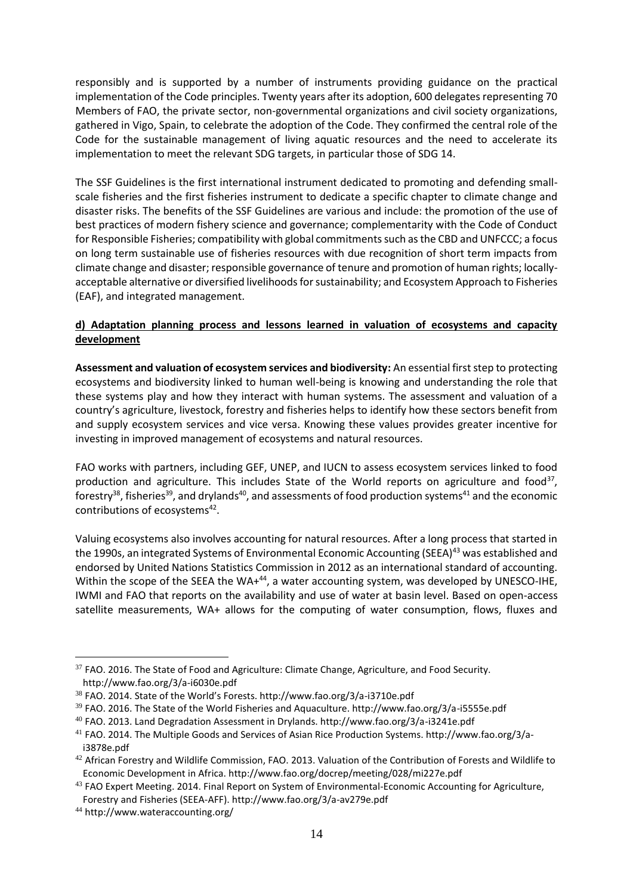responsibly and is supported by a number of instruments providing guidance on the practical implementation of the Code principles. Twenty years after its adoption, 600 delegates representing 70 Members of FAO, the private sector, non-governmental organizations and civil society organizations, gathered in Vigo, Spain, to celebrate the adoption of the Code. They confirmed the central role of the Code for the sustainable management of living aquatic resources and the need to accelerate its implementation to meet the relevant SDG targets, in particular those of SDG 14.

The SSF Guidelines is the first international instrument dedicated to promoting and defending smallscale fisheries and the first fisheries instrument to dedicate a specific chapter to climate change and disaster risks. The benefits of the SSF Guidelines are various and include: the promotion of the use of best practices of modern fishery science and governance; complementarity with the Code of Conduct for Responsible Fisheries; compatibility with global commitments such as the CBD and UNFCCC; a focus on long term sustainable use of fisheries resources with due recognition of short term impacts from climate change and disaster; responsible governance of tenure and promotion of human rights; locallyacceptable alternative or diversified livelihoods for sustainability; and Ecosystem Approach to Fisheries (EAF), and integrated management.

# **d) Adaptation planning process and lessons learned in valuation of ecosystems and capacity development**

**Assessment and valuation of ecosystem services and biodiversity:** An essential first step to protecting ecosystems and biodiversity linked to human well-being is knowing and understanding the role that these systems play and how they interact with human systems. The assessment and valuation of a country's agriculture, livestock, forestry and fisheries helps to identify how these sectors benefit from and supply ecosystem services and vice versa. Knowing these values provides greater incentive for investing in improved management of ecosystems and natural resources.

FAO works with partners, including GEF, UNEP, and IUCN to assess ecosystem services linked to food production and agriculture. This includes State of the World reports on agriculture and food<sup>37</sup>, forestry<sup>38</sup>, fisheries<sup>39</sup>, and drylands<sup>40</sup>, and assessments of food production systems<sup>41</sup> and the economic contributions of ecosystems<sup>42</sup>.

Valuing ecosystems also involves accounting for natural resources. After a long process that started in the 1990s, an integrated Systems of Environmental Economic Accounting (SEEA)<sup>43</sup> was established and endorsed by United Nations Statistics Commission in 2012 as an international standard of accounting. Within the scope of the SEEA the WA+<sup>44</sup>, a water accounting system, was developed by UNESCO-IHE, IWMI and FAO that reports on the availability and use of water at basin level. Based on open-access satellite measurements, WA+ allows for the computing of water consumption, flows, fluxes and

<sup>&</sup>lt;sup>37</sup> FAO. 2016. The State of Food and Agriculture: Climate Change, Agriculture, and Food Security. http://www.fao.org/3/a-i6030e.pdf

<sup>38</sup> FAO. 2014. State of the World's Forests. http://www.fao.org/3/a-i3710e.pdf

<sup>39</sup> FAO. 2016. The State of the World Fisheries and Aquaculture. http://www.fao.org/3/a-i5555e.pdf

<sup>40</sup> FAO. 2013. Land Degradation Assessment in Drylands. http://www.fao.org/3/a-i3241e.pdf

<sup>41</sup> FAO. 2014. The Multiple Goods and Services of Asian Rice Production Systems. http://www.fao.org/3/ai3878e.pdf

<sup>&</sup>lt;sup>42</sup> African Forestry and Wildlife Commission, FAO. 2013. Valuation of the Contribution of Forests and Wildlife to Economic Development in Africa. http://www.fao.org/docrep/meeting/028/mi227e.pdf

<sup>&</sup>lt;sup>43</sup> FAO Expert Meeting. 2014. Final Report on System of Environmental-Economic Accounting for Agriculture, Forestry and Fisheries (SEEA-AFF). http://www.fao.org/3/a-av279e.pdf

<sup>44</sup> http://www.wateraccounting.org/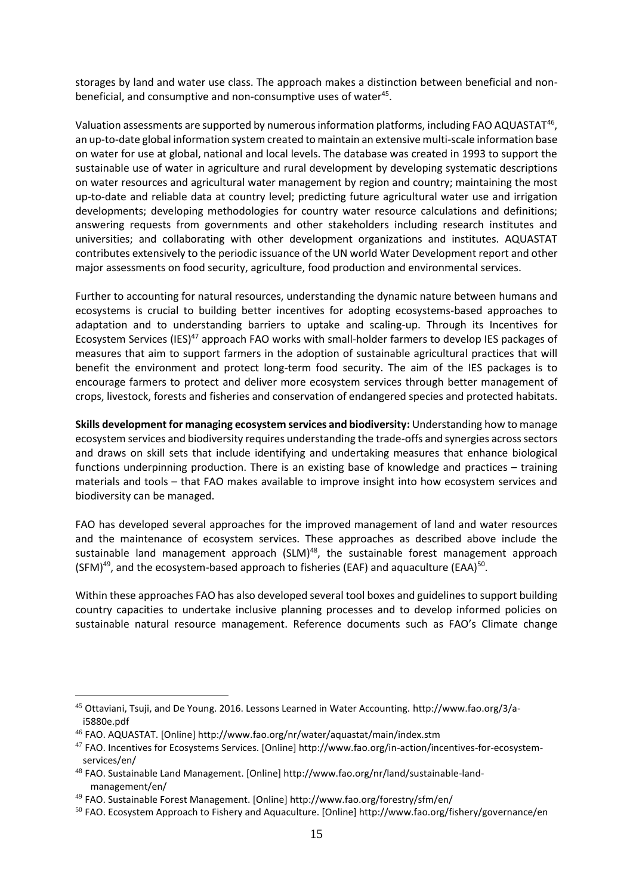storages by land and water use class. The approach makes a distinction between beneficial and nonbeneficial, and consumptive and non-consumptive uses of water<sup>45</sup>.

Valuation assessments are supported by numerous information platforms, including FAO AQUASTAT $^{46}$ , an up-to-date global information system created to maintain an extensive multi-scale information base on water for use at global, national and local levels. The database was created in 1993 to support the sustainable use of water in agriculture and rural development by developing systematic descriptions on water resources and agricultural water management by region and country; maintaining the most up-to-date and reliable data at country level; predicting future agricultural water use and irrigation developments; developing methodologies for country water resource calculations and definitions; answering requests from governments and other stakeholders including research institutes and universities; and collaborating with other development organizations and institutes. AQUASTAT contributes extensively to the periodic issuance of the UN world Water Development report and other major assessments on food security, agriculture, food production and environmental services.

Further to accounting for natural resources, understanding the dynamic nature between humans and ecosystems is crucial to building better incentives for adopting ecosystems-based approaches to adaptation and to understanding barriers to uptake and scaling-up. Through its Incentives for Ecosystem Services (IES)<sup>47</sup> approach FAO works with small-holder farmers to develop IES packages of measures that aim to support farmers in the adoption of sustainable agricultural practices that will benefit the environment and protect long-term food security. The aim of the IES packages is to encourage farmers to protect and deliver more ecosystem services through better management of crops, livestock, forests and fisheries and conservation of endangered species and protected habitats.

**Skills development for managing ecosystem services and biodiversity:** Understanding how to manage ecosystem services and biodiversity requires understanding the trade-offs and synergies across sectors and draws on skill sets that include identifying and undertaking measures that enhance biological functions underpinning production. There is an existing base of knowledge and practices – training materials and tools – that FAO makes available to improve insight into how ecosystem services and biodiversity can be managed.

FAO has developed several approaches for the improved management of land and water resources and the maintenance of ecosystem services. These approaches as described above include the sustainable land management approach  $(SLM)^{48}$ , the sustainable forest management approach (SFM)<sup>49</sup>, and the ecosystem-based approach to fisheries (EAF) and aquaculture (EAA)<sup>50</sup>.

Within these approaches FAO has also developed several tool boxes and guidelines to support building country capacities to undertake inclusive planning processes and to develop informed policies on sustainable natural resource management. Reference documents such as FAO's Climate change

<sup>45</sup> Ottaviani, Tsuji, and De Young. 2016. Lessons Learned in Water Accounting. http://www.fao.org/3/ai5880e.pdf

<sup>46</sup> FAO. AQUASTAT. [Online] http://www.fao.org/nr/water/aquastat/main/index.stm

<sup>47</sup> FAO. Incentives for Ecosystems Services. [Online] http://www.fao.org/in-action/incentives-for-ecosystemservices/en/

<sup>48</sup> FAO. Sustainable Land Management. [Online] http://www.fao.org/nr/land/sustainable-landmanagement/en/

<sup>49</sup> FAO. Sustainable Forest Management. [Online] http://www.fao.org/forestry/sfm/en/

 $50$  FAO. Ecosystem Approach to Fishery and Aquaculture. [Online] http://www.fao.org/fishery/governance/en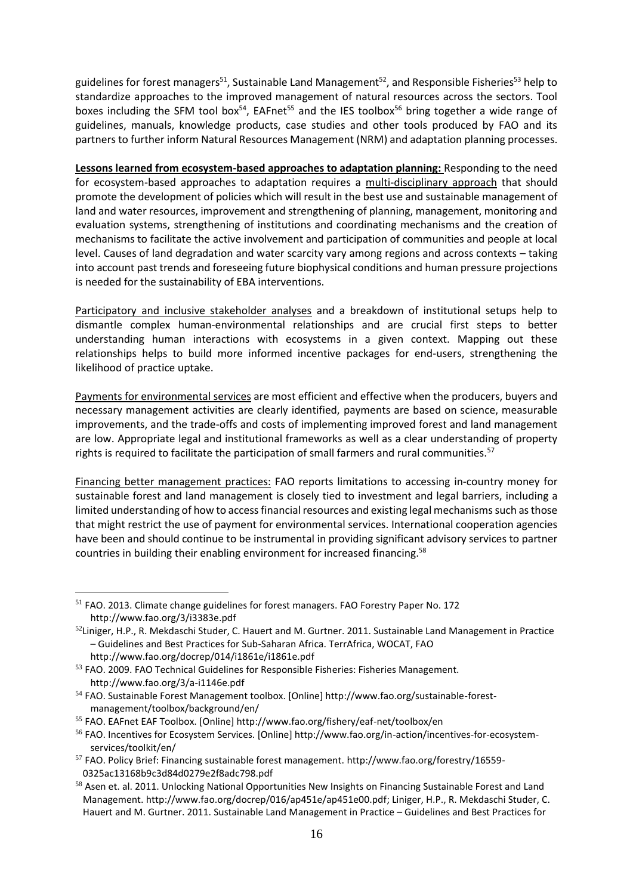guidelines for forest managers<sup>51</sup>, Sustainable Land Management<sup>52</sup>, and Responsible Fisheries<sup>53</sup> help to standardize approaches to the improved management of natural resources across the sectors. Tool boxes including the SFM tool box<sup>54</sup>, EAFnet<sup>55</sup> and the IES toolbox<sup>56</sup> bring together a wide range of guidelines, manuals, knowledge products, case studies and other tools produced by FAO and its partners to further inform Natural Resources Management (NRM) and adaptation planning processes.

**Lessons learned from ecosystem-based approaches to adaptation planning:** Responding to the need for ecosystem-based approaches to adaptation requires a multi-disciplinary approach that should promote the development of policies which will result in the best use and sustainable management of land and water resources, improvement and strengthening of planning, management, monitoring and evaluation systems, strengthening of institutions and coordinating mechanisms and the creation of mechanisms to facilitate the active involvement and participation of communities and people at local level. Causes of land degradation and water scarcity vary among regions and across contexts – taking into account past trends and foreseeing future biophysical conditions and human pressure projections is needed for the sustainability of EBA interventions.

Participatory and inclusive stakeholder analyses and a breakdown of institutional setups help to dismantle complex human-environmental relationships and are crucial first steps to better understanding human interactions with ecosystems in a given context. Mapping out these relationships helps to build more informed incentive packages for end-users, strengthening the likelihood of practice uptake.

Payments for environmental services are most efficient and effective when the producers, buyers and necessary management activities are clearly identified, payments are based on science, measurable improvements, and the trade-offs and costs of implementing improved forest and land management are low. Appropriate legal and institutional frameworks as well as a clear understanding of property rights is required to facilitate the participation of small farmers and rural communities.<sup>57</sup>

Financing better management practices: FAO reports limitations to accessing in-country money for sustainable forest and land management is closely tied to investment and legal barriers, including a limited understanding of how to access financial resources and existing legal mechanisms such as those that might restrict the use of payment for environmental services. International cooperation agencies have been and should continue to be instrumental in providing significant advisory services to partner countries in building their enabling environment for increased financing.<sup>58</sup>

http://www.fao.org/docrep/014/i1861e/i1861e.pdf

<sup>51</sup> FAO. 2013. Climate change guidelines for forest managers. FAO Forestry Paper No. 172 http://www.fao.org/3/i3383e.pdf

 $52$ Liniger, H.P., R. Mekdaschi Studer, C. Hauert and M. Gurtner. 2011. Sustainable Land Management in Practice – Guidelines and Best Practices for Sub-Saharan Africa. TerrAfrica, WOCAT, FAO

<sup>&</sup>lt;sup>53</sup> FAO. 2009. FAO Technical Guidelines for Responsible Fisheries: Fisheries Management. http://www.fao.org/3/a-i1146e.pdf

<sup>54</sup> FAO. Sustainable Forest Management toolbox. [Online] http://www.fao.org/sustainable-forestmanagement/toolbox/background/en/

<sup>55</sup> FAO. EAFnet EAF Toolbox. [Online] http://www.fao.org/fishery/eaf-net/toolbox/en

<sup>56</sup> FAO. Incentives for Ecosystem Services. [Online] http://www.fao.org/in-action/incentives-for-ecosystemservices/toolkit/en/

<sup>57</sup> FAO. Policy Brief: Financing sustainable forest management. http://www.fao.org/forestry/16559- 0325ac13168b9c3d84d0279e2f8adc798.pdf

<sup>&</sup>lt;sup>58</sup> Asen et. al. 2011. Unlocking National Opportunities New Insights on Financing Sustainable Forest and Land Management[. http://www.fao.org/docrep/016/ap451e/ap451e00.pdf;](http://www.fao.org/docrep/016/ap451e/ap451e00.pdf) Liniger, H.P., R. Mekdaschi Studer, C. Hauert and M. Gurtner. 2011. Sustainable Land Management in Practice – Guidelines and Best Practices for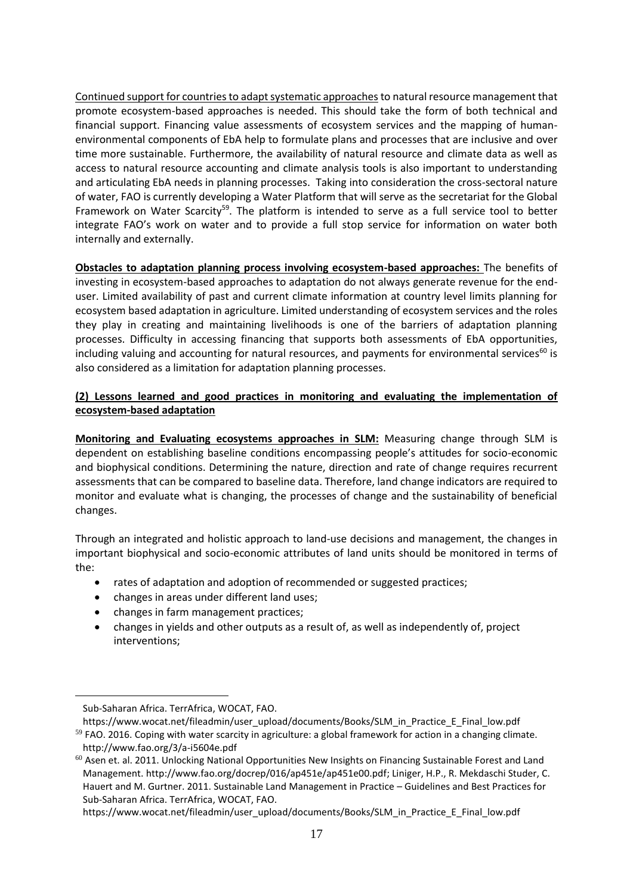Continued support for countries to adapt systematic approachesto natural resource management that promote ecosystem-based approaches is needed. This should take the form of both technical and financial support. Financing value assessments of ecosystem services and the mapping of humanenvironmental components of EbA help to formulate plans and processes that are inclusive and over time more sustainable. Furthermore, the availability of natural resource and climate data as well as access to natural resource accounting and climate analysis tools is also important to understanding and articulating EbA needs in planning processes. Taking into consideration the cross-sectoral nature of water, FAO is currently developing a Water Platform that will serve as the secretariat for the Global Framework on Water Scarcity<sup>59</sup>. The platform is intended to serve as a full service tool to better integrate FAO's work on water and to provide a full stop service for information on water both internally and externally.

**Obstacles to adaptation planning process involving ecosystem-based approaches:** The benefits of investing in ecosystem-based approaches to adaptation do not always generate revenue for the enduser. Limited availability of past and current climate information at country level limits planning for ecosystem based adaptation in agriculture. Limited understanding of ecosystem services and the roles they play in creating and maintaining livelihoods is one of the barriers of adaptation planning processes. Difficulty in accessing financing that supports both assessments of EbA opportunities, including valuing and accounting for natural resources, and payments for environmental services<sup>60</sup> is also considered as a limitation for adaptation planning processes.

## **(2) Lessons learned and good practices in monitoring and evaluating the implementation of ecosystem-based adaptation**

**Monitoring and Evaluating ecosystems approaches in SLM:** Measuring change through SLM is dependent on establishing baseline conditions encompassing people's attitudes for socio-economic and biophysical conditions. Determining the nature, direction and rate of change requires recurrent assessments that can be compared to baseline data. Therefore, land change indicators are required to monitor and evaluate what is changing, the processes of change and the sustainability of beneficial changes.

Through an integrated and holistic approach to land-use decisions and management, the changes in important biophysical and socio-economic attributes of land units should be monitored in terms of the:

- rates of adaptation and adoption of recommended or suggested practices;
- changes in areas under different land uses;
- changes in farm management practices;
- changes in yields and other outputs as a result of, as well as independently of, project interventions;

 $\overline{a}$ 

https://www.wocat.net/fileadmin/user\_upload/documents/Books/SLM\_in\_Practice\_E\_Final\_low.pdf

Sub-Saharan Africa. TerrAfrica, WOCAT, FAO.

https://www.wocat.net/fileadmin/user\_upload/documents/Books/SLM\_in\_Practice\_E\_Final\_low.pdf

<sup>59</sup> FAO. 2016. Coping with water scarcity in agriculture: a global framework for action in a changing climate. http://www.fao.org/3/a-i5604e.pdf

 $60$  Asen et. al. 2011. Unlocking National Opportunities New Insights on Financing Sustainable Forest and Land Management[. http://www.fao.org/docrep/016/ap451e/ap451e00.pdf;](http://www.fao.org/docrep/016/ap451e/ap451e00.pdf) Liniger, H.P., R. Mekdaschi Studer, C. Hauert and M. Gurtner. 2011. Sustainable Land Management in Practice – Guidelines and Best Practices for Sub-Saharan Africa. TerrAfrica, WOCAT, FAO.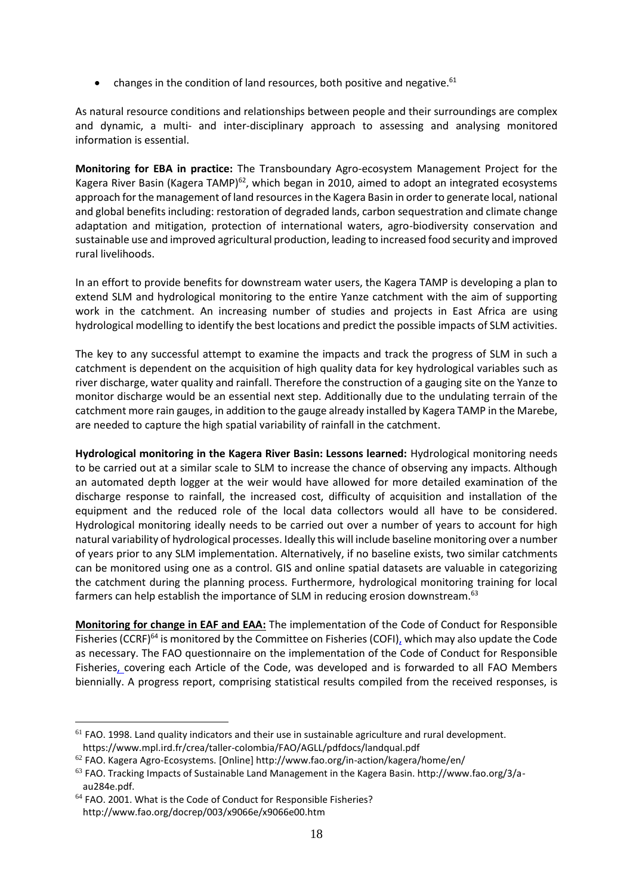• changes in the condition of land resources, both positive and negative.<sup>61</sup>

As natural resource conditions and relationships between people and their surroundings are complex and dynamic, a multi- and inter-disciplinary approach to assessing and analysing monitored information is essential.

**Monitoring for EBA in practice:** The Transboundary Agro-ecosystem Management Project for the Kagera River Basin (Kagera TAMP)<sup>62</sup>, which began in 2010, aimed to adopt an integrated ecosystems approach for the management of land resources in the Kagera Basin in order to generate local, national and global benefits including: restoration of degraded lands, carbon sequestration and climate change adaptation and mitigation, protection of international waters, agro-biodiversity conservation and sustainable use and improved agricultural production, leading to increased food security and improved rural livelihoods.

In an effort to provide benefits for downstream water users, the Kagera TAMP is developing a plan to extend SLM and hydrological monitoring to the entire Yanze catchment with the aim of supporting work in the catchment. An increasing number of studies and projects in East Africa are using hydrological modelling to identify the best locations and predict the possible impacts of SLM activities.

The key to any successful attempt to examine the impacts and track the progress of SLM in such a catchment is dependent on the acquisition of high quality data for key hydrological variables such as river discharge, water quality and rainfall. Therefore the construction of a gauging site on the Yanze to monitor discharge would be an essential next step. Additionally due to the undulating terrain of the catchment more rain gauges, in addition to the gauge already installed by Kagera TAMP in the Marebe, are needed to capture the high spatial variability of rainfall in the catchment.

**Hydrological monitoring in the Kagera River Basin: Lessons learned:** Hydrological monitoring needs to be carried out at a similar scale to SLM to increase the chance of observing any impacts. Although an automated depth logger at the weir would have allowed for more detailed examination of the discharge response to rainfall, the increased cost, difficulty of acquisition and installation of the equipment and the reduced role of the local data collectors would all have to be considered. Hydrological monitoring ideally needs to be carried out over a number of years to account for high natural variability of hydrological processes. Ideally this will include baseline monitoring over a number of years prior to any SLM implementation. Alternatively, if no baseline exists, two similar catchments can be monitored using one as a control. GIS and online spatial datasets are valuable in categorizing the catchment during the planning process. Furthermore, hydrological monitoring training for local farmers can help establish the importance of SLM in reducing erosion downstream.<sup>63</sup>

**Monitoring for change in EAF and EAA:** The implementation of the Code of Conduct for Responsible Fisheries (CCRF)<sup>64</sup> is monitored by the Committee on Fisheries (COFI), which may also update the Code as necessary. The FAO questionnaire on the implementation of the Code of Conduct for Responsible Fisheries, covering each Article of the Code, was developed and is forwarded to all FAO Members biennially. A progress report, comprising statistical results compiled from the received responses, is

 $61$  FAO. 1998. Land quality indicators and their use in sustainable agriculture and rural development. https://www.mpl.ird.fr/crea/taller-colombia/FAO/AGLL/pdfdocs/landqual.pdf

 $62$  FAO. Kagera Agro-Ecosystems. [Online] http://www.fao.org/in-action/kagera/home/en/

<sup>63</sup> FAO. Tracking Impacts of Sustainable Land Management in the Kagera Basin. http://www.fao.org/3/aau284e.pdf.

<sup>&</sup>lt;sup>64</sup> FAO. 2001. What is the Code of Conduct for Responsible Fisheries? http://www.fao.org/docrep/003/x9066e/x9066e00.htm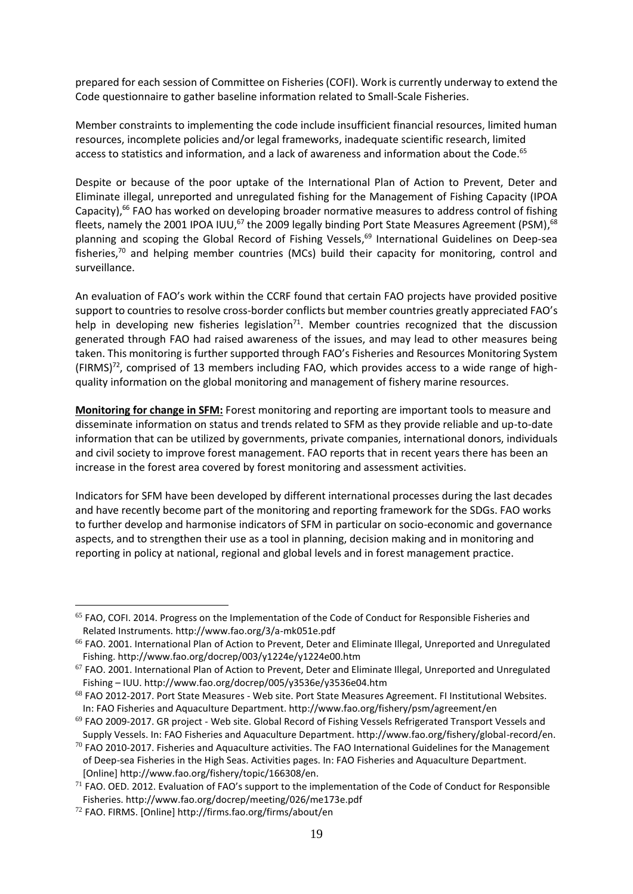prepared for each session of Committee on Fisheries (COFI). Work is currently underway to extend the Code questionnaire to gather baseline information related to Small-Scale Fisheries.

Member constraints to implementing the code include insufficient financial resources, limited human resources, incomplete policies and/or legal frameworks, inadequate scientific research, limited access to statistics and information, and a lack of awareness and information about the Code. $^{65}$ 

Despite or because of the poor uptake of the International Plan of Action to Prevent, Deter and Eliminate illegal, unreported and unregulated fishing for the Management of Fishing Capacity (IPOA Capacity),<sup>66</sup> FAO has worked on developing broader normative measures to address control of fishing fleets, namely the 2001 IPOA IUU,<sup>67</sup> the 2009 legally binding Port State Measures Agreement (PSM),<sup>68</sup> planning and scoping the Global Record of Fishing Vessels, <sup>69</sup> International Guidelines on Deep-sea fisheries,<sup>70</sup> and helping member countries (MCs) build their capacity for monitoring, control and surveillance.

An evaluation of FAO's work within the CCRF found that certain FAO projects have provided positive support to countries to resolve cross-border conflicts but member countries greatly appreciated FAO's help in developing new fisheries legislation<sup>71</sup>. Member countries recognized that the discussion generated through FAO had raised awareness of the issues, and may lead to other measures being taken. This monitoring is further supported through FAO's Fisheries and Resources Monitoring System (FIRMS)72, comprised of 13 members including FAO, which provides access to a wide range of highquality information on the global monitoring and management of fishery marine resources.

**Monitoring for change in SFM:** Forest monitoring and reporting are important tools to measure and disseminate information on status and trends related to SFM as they provide reliable and up-to-date information that can be utilized by governments, private companies, international donors, individuals and civil society to improve forest management. FAO reports that in recent years there has been an increase in the forest area covered by forest monitoring and assessment activities.

Indicators for SFM have been developed by different international processes during the last decades and have recently become part of the monitoring and reporting framework for the SDGs. FAO works to further develop and harmonise indicators of SFM in particular on socio-economic and governance aspects, and to strengthen their use as a tool in planning, decision making and in monitoring and reporting in policy at national, regional and global levels and in forest management practice.

l

<sup>65</sup> FAO, COFI. 2014. Progress on the Implementation of the Code of Conduct for Responsible Fisheries and Related Instruments. http://www.fao.org/3/a-mk051e.pdf

<sup>&</sup>lt;sup>66</sup> FAO. 2001. International Plan of Action to Prevent, Deter and Eliminate Illegal, Unreported and Unregulated Fishing. http://www.fao.org/docrep/003/y1224e/y1224e00.htm

 $67$  FAO. 2001. International Plan of Action to Prevent, Deter and Eliminate Illegal, Unreported and Unregulated Fishing – IUU. http://www.fao.org/docrep/005/y3536e/y3536e04.htm

<sup>&</sup>lt;sup>68</sup> FAO 2012-2017. Port State Measures - Web site. Port State Measures Agreement. FI Institutional Websites. In: FAO Fisheries and Aquaculture Department. http://www.fao.org/fishery/psm/agreement/en

 $69$  FAO 2009-2017. GR project - Web site. Global Record of Fishing Vessels Refrigerated Transport Vessels and Supply Vessels. In: FAO Fisheries and Aquaculture Department. http://www.fao.org/fishery/global-record/en.

 $70$  FAO 2010-2017. Fisheries and Aquaculture activities. The FAO International Guidelines for the Management of Deep-sea Fisheries in the High Seas. Activities pages. In: FAO Fisheries and Aquaculture Department. [Online] http://www.fao.org/fishery/topic/166308/en.

 $71$  FAO. OED. 2012. Evaluation of FAO's support to the implementation of the Code of Conduct for Responsible Fisheries. http://www.fao.org/docrep/meeting/026/me173e.pdf

<sup>72</sup> FAO. FIRMS. [Online] http://firms.fao.org/firms/about/en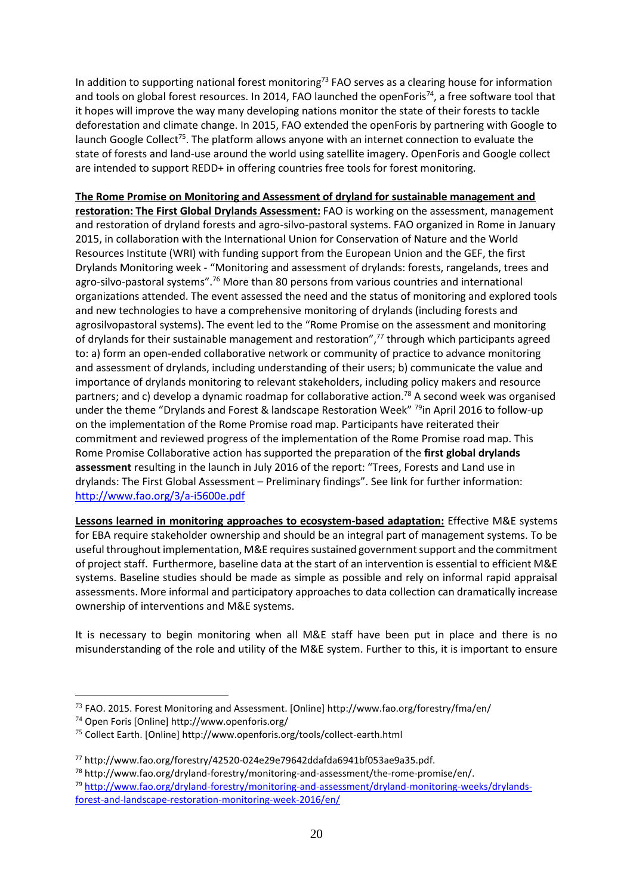In addition to supporting national forest monitoring<sup>73</sup> FAO serves as a clearing house for information and tools on global forest resources. In 2014, FAO launched the openForis<sup>74</sup>, a free software tool that it hopes will improve the way many developing nations monitor the state of their forests to tackle deforestation and climate change. In 2015, FAO extended the openForis by partnering with Google to launch Google Collect<sup>75</sup>. The platform allows anyone with an internet connection to evaluate the state of forests and land-use around the world using satellite imagery. OpenForis and Google collect are intended to support REDD+ in offering countries free tools for forest monitoring.

**The Rome Promise on Monitoring and Assessment of dryland for sustainable management and restoration: The First Global Drylands Assessment:** FAO is working on the assessment, management and restoration of dryland forests and agro-silvo-pastoral systems. FAO organized in Rome in January 2015, in collaboration with the International Union for Conservation of Nature and the World Resources Institute (WRI) with funding support from the European Union and the GEF, the first Drylands Monitoring week - "Monitoring and assessment of drylands: forests, rangelands, trees and agro-silvo-pastoral systems".<sup>76</sup> More than 80 persons from various countries and international organizations attended. The event assessed the need and the status of monitoring and explored tools and new technologies to have a comprehensive monitoring of drylands (including forests and agrosilvopastoral systems). The event led to the "Rome Promise on the assessment and monitoring of drylands for their sustainable management and restoration",<sup>77</sup> through which participants agreed to: a) form an open-ended collaborative network or community of practice to advance monitoring and assessment of drylands, including understanding of their users; b) communicate the value and importance of drylands monitoring to relevant stakeholders, including policy makers and resource partners; and c) develop a dynamic roadmap for collaborative action.<sup>78</sup> A second week was organised under the theme "Drylands and Forest & landscape Restoration Week" <sup>79</sup>in April 2016 to follow-up on the implementation of the Rome Promise road map. Participants have reiterated their commitment and reviewed progress of the implementation of the Rome Promise road map. This Rome Promise Collaborative action has supported the preparation of the **first global drylands assessment** resulting in the launch in July 2016 of the report: "Trees, Forests and Land use in drylands: The First Global Assessment – Preliminary findings". See link for further information: <http://www.fao.org/3/a-i5600e.pdf>

**Lessons learned in monitoring approaches to ecosystem-based adaptation:** Effective M&E systems for EBA require stakeholder ownership and should be an integral part of management systems. To be useful throughout implementation, M&E requires sustained government support and the commitment of project staff. Furthermore, baseline data at the start of an intervention is essential to efficient M&E systems. Baseline studies should be made as simple as possible and rely on informal rapid appraisal assessments. More informal and participatory approaches to data collection can dramatically increase ownership of interventions and M&E systems.

It is necessary to begin monitoring when all M&E staff have been put in place and there is no misunderstanding of the role and utility of the M&E system. Further to this, it is important to ensure

<sup>73</sup> FAO. 2015. Forest Monitoring and Assessment. [Online] http://www.fao.org/forestry/fma/en/

<sup>74</sup> Open Foris [Online] http://www.openforis.org/

<sup>75</sup> Collect Earth. [Online] http://www.openforis.org/tools/collect-earth.html

<sup>77</sup> http://www.fao.org/forestry/42520-024e29e79642ddafda6941bf053ae9a35.pdf.

<sup>78</sup> http://www.fao.org/dryland-forestry/monitoring-and-assessment/the-rome-promise/en/. <sup>79</sup> [http://www.fao.org/dryland-forestry/monitoring-and-assessment/dryland-monitoring-weeks/drylands](http://www.fao.org/dryland-forestry/monitoring-and-assessment/dryland-monitoring-weeks/drylands-forest-and-landscape-restoration-monitoring-week-2016/en/)[forest-and-landscape-restoration-monitoring-week-2016/en/](http://www.fao.org/dryland-forestry/monitoring-and-assessment/dryland-monitoring-weeks/drylands-forest-and-landscape-restoration-monitoring-week-2016/en/)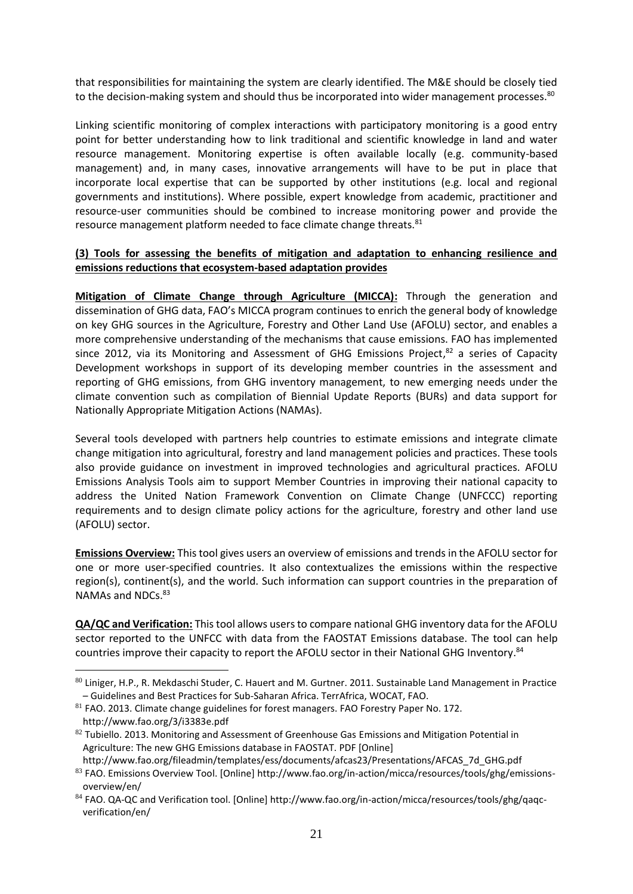that responsibilities for maintaining the system are clearly identified. The M&E should be closely tied to the decision-making system and should thus be incorporated into wider management processes.<sup>80</sup>

Linking scientific monitoring of complex interactions with participatory monitoring is a good entry point for better understanding how to link traditional and scientific knowledge in land and water resource management. Monitoring expertise is often available locally (e.g. community-based management) and, in many cases, innovative arrangements will have to be put in place that incorporate local expertise that can be supported by other institutions (e.g. local and regional governments and institutions). Where possible, expert knowledge from academic, practitioner and resource-user communities should be combined to increase monitoring power and provide the resource management platform needed to face climate change threats.<sup>81</sup>

#### **(3) Tools for assessing the benefits of mitigation and adaptation to enhancing resilience and emissions reductions that ecosystem-based adaptation provides**

**Mitigation of Climate Change through Agriculture (MICCA):** Through the generation and dissemination of GHG data, FAO's MICCA program continues to enrich the general body of knowledge on key GHG sources in the Agriculture, Forestry and Other Land Use (AFOLU) sector, and enables a more comprehensive understanding of the mechanisms that cause emissions. FAO has implemented since 2012, via its Monitoring and Assessment of GHG Emissions Project,<sup>82</sup> a series of Capacity Development workshops in support of its developing member countries in the assessment and reporting of GHG emissions, from GHG inventory management, to new emerging needs under the climate convention such as compilation of Biennial Update Reports (BURs) and data support for Nationally Appropriate Mitigation Actions (NAMAs).

Several tools developed with partners help countries to estimate emissions and integrate climate change mitigation into agricultural, forestry and land management policies and practices. These tools also provide guidance on investment in improved technologies and agricultural practices. AFOLU Emissions Analysis Tools aim to support Member Countries in improving their national capacity to address the United Nation Framework Convention on Climate Change (UNFCCC) reporting requirements and to design climate policy actions for the agriculture, forestry and other land use (AFOLU) sector.

**Emissions Overview:** This tool gives users an overview of emissions and trends in the AFOLU sector for one or more user-specified countries. It also contextualizes the emissions within the respective region(s), continent(s), and the world. Such information can support countries in the preparation of NAMAs and NDCs.<sup>83</sup>

**QA/QC and Verification:** This tool allows users to compare national GHG inventory data for the AFOLU sector reported to the UNFCC with data from the FAOSTAT Emissions database. The tool can help countries improve their capacity to report the AFOLU sector in their National GHG Inventory.<sup>84</sup>

<sup>80</sup> Liniger, H.P., R. Mekdaschi Studer, C. Hauert and M. Gurtner. 2011. Sustainable Land Management in Practice – Guidelines and Best Practices for Sub-Saharan Africa. TerrAfrica, WOCAT, FAO.

<sup>81</sup> FAO. 2013. Climate change guidelines for forest managers. FAO Forestry Paper No. 172. http://www.fao.org/3/i3383e.pdf

 $82$  Tubiello. 2013. Monitoring and Assessment of Greenhouse Gas Emissions and Mitigation Potential in Agriculture: The new GHG Emissions database in FAOSTAT. PDF [Online]

http://www.fao.org/fileadmin/templates/ess/documents/afcas23/Presentations/AFCAS\_7d\_GHG.pdf

<sup>83</sup> FAO. Emissions Overview Tool. [Online] http://www.fao.org/in-action/micca/resources/tools/ghg/emissionsoverview/en/

<sup>84</sup> FAO. QA-QC and Verification tool. [Online] http://www.fao.org/in-action/micca/resources/tools/ghg/qaqcverification/en/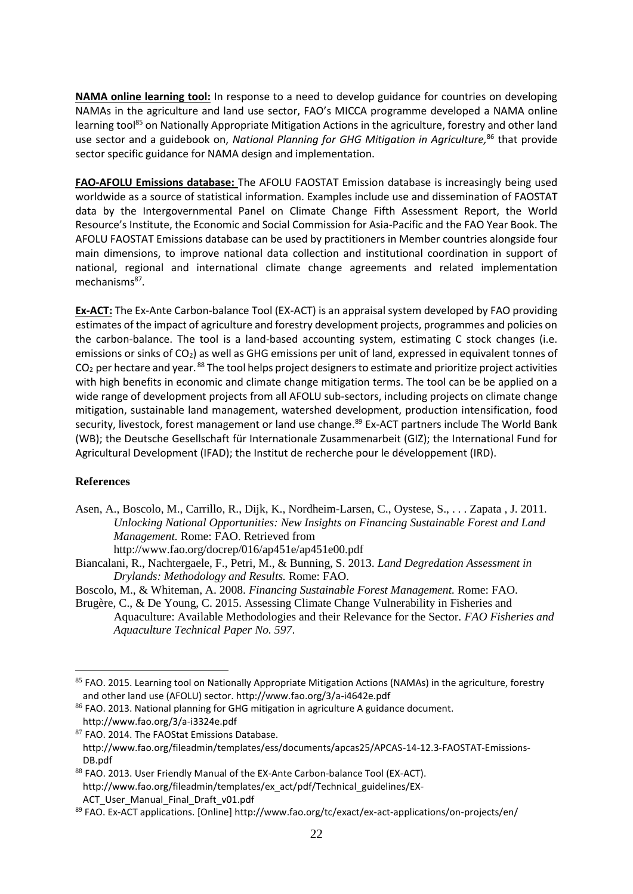**NAMA online learning tool:** In response to a need to develop guidance for countries on developing NAMAs in the agriculture and land use sector, FAO's MICCA programme developed a NAMA online learning tool<sup>85</sup> on Nationally Appropriate Mitigation Actions in the agriculture, forestry and other land use sector and a guidebook on, *National Planning for GHG Mitigation in Agriculture,* <sup>86</sup> that provide sector specific guidance for NAMA design and implementation.

**FAO-AFOLU Emissions database:** The AFOLU FAOSTAT Emission database is increasingly being used worldwide as a source of statistical information. Examples include use and dissemination of FAOSTAT data by the Intergovernmental Panel on Climate Change Fifth Assessment Report, the World Resource's Institute, the Economic and Social Commission for Asia-Pacific and the FAO Year Book. The AFOLU FAOSTAT Emissions database can be used by practitioners in Member countries alongside four main dimensions, to improve national data collection and institutional coordination in support of national, regional and international climate change agreements and related implementation mechanisms<sup>87</sup>.

**Ex-ACT:** The Ex-Ante Carbon-balance Tool (EX-ACT) is an appraisal system developed by FAO providing estimates of the impact of agriculture and forestry development projects, programmes and policies on the carbon-balance. The tool is a land-based accounting system, estimating C stock changes (i.e. emissions or sinks of CO<sub>2</sub>) as well as GHG emissions per unit of land, expressed in equivalent tonnes of  $CO<sub>2</sub>$  per hectare and year. <sup>88</sup> The tool helps project designers to estimate and prioritize project activities with high benefits in economic and climate change mitigation terms. The tool can be be applied on a wide range of development projects from all AFOLU sub-sectors, including projects on climate change mitigation, sustainable land management, watershed development, production intensification, food security, livestock, forest management or land use change. <sup>89</sup> Ex-ACT partners include The World Bank (WB); the Deutsche Gesellschaft für Internationale Zusammenarbeit (GIZ); the International Fund for Agricultural Development (IFAD); the Institut de recherche pour le développement (IRD).

## **References**

 $\overline{a}$ 

Asen, A., Boscolo, M., Carrillo, R., Dijk, K., Nordheim-Larsen, C., Oystese, S., . . . Zapata , J. 2011. *Unlocking National Opportunities: New Insights on Financing Sustainable Forest and Land Management.* Rome: FAO. Retrieved from

http://www.fao.org/docrep/016/ap451e/ap451e00.pdf

Biancalani, R., Nachtergaele, F., Petri, M., & Bunning, S. 2013. *Land Degredation Assessment in Drylands: Methodology and Results.* Rome: FAO.

Boscolo, M., & Whiteman, A. 2008. *Financing Sustainable Forest Management.* Rome: FAO. Brugère, C., & De Young, C. 2015. Assessing Climate Change Vulnerability in Fisheries and

Aquaculture: Available Methodologies and their Relevance for the Sector. *FAO Fisheries and Aquaculture Technical Paper No. 597*.

88 FAO. 2013. User Friendly Manual of the EX-Ante Carbon-balance Tool (EX-ACT). http://www.fao.org/fileadmin/templates/ex\_act/pdf/Technical\_guidelines/EX-ACT User Manual Final Draft v01.pdf

<sup>85</sup> FAO. 2015. Learning tool on Nationally Appropriate Mitigation Actions (NAMAs) in the agriculture, forestry and other land use (AFOLU) sector. http://www.fao.org/3/a-i4642e.pdf

<sup>86</sup> FAO. 2013. National planning for GHG mitigation in agriculture A guidance document. http://www.fao.org/3/a-i3324e.pdf

<sup>87</sup> FAO. 2014. The FAOStat Emissions Database. http://www.fao.org/fileadmin/templates/ess/documents/apcas25/APCAS-14-12.3-FAOSTAT-Emissions-DB.pdf

<sup>89</sup> FAO. Ex-ACT applications. [Online] http://www.fao.org/tc/exact/ex-act-applications/on-projects/en/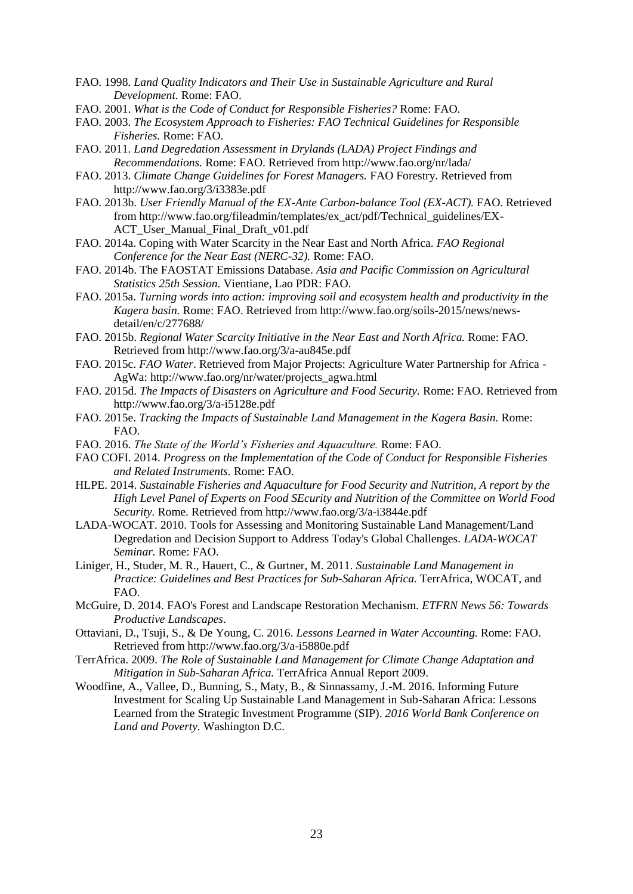- FAO. 1998. *Land Quality Indicators and Their Use in Sustainable Agriculture and Rural Development.* Rome: FAO.
- FAO. 2001. *What is the Code of Conduct for Responsible Fisheries?* Rome: FAO.
- FAO. 2003. *The Ecosystem Approach to Fisheries: FAO Technical Guidelines for Responsible Fisheries.* Rome: FAO.
- FAO. 2011. *Land Degredation Assessment in Drylands (LADA) Project Findings and Recommendations.* Rome: FAO. Retrieved from http://www.fao.org/nr/lada/
- FAO. 2013. *Climate Change Guidelines for Forest Managers.* FAO Forestry. Retrieved from http://www.fao.org/3/i3383e.pdf
- FAO. 2013b. *User Friendly Manual of the EX-Ante Carbon-balance Tool (EX-ACT).* FAO. Retrieved from http://www.fao.org/fileadmin/templates/ex\_act/pdf/Technical\_guidelines/EX-ACT\_User\_Manual\_Final\_Draft\_v01.pdf
- FAO. 2014a. Coping with Water Scarcity in the Near East and North Africa. *FAO Regional Conference for the Near East (NERC-32).* Rome: FAO.
- FAO. 2014b. The FAOSTAT Emissions Database. *Asia and Pacific Commission on Agricultural Statistics 25th Session.* Vientiane, Lao PDR: FAO.
- FAO. 2015a. *Turning words into action: improving soil and ecosystem health and productivity in the Kagera basin.* Rome: FAO. Retrieved from http://www.fao.org/soils-2015/news/newsdetail/en/c/277688/
- FAO. 2015b. *Regional Water Scarcity Initiative in the Near East and North Africa.* Rome: FAO. Retrieved from http://www.fao.org/3/a-au845e.pdf
- FAO. 2015c. *FAO Water*. Retrieved from Major Projects: Agriculture Water Partnership for Africa AgWa: http://www.fao.org/nr/water/projects\_agwa.html
- FAO. 2015d. *The Impacts of Disasters on Agriculture and Food Security.* Rome: FAO. Retrieved from http://www.fao.org/3/a-i5128e.pdf
- FAO. 2015e. *Tracking the Impacts of Sustainable Land Management in the Kagera Basin.* Rome: FAO.
- FAO. 2016. *The State of the World's Fisheries and Aquaculture.* Rome: FAO.
- FAO COFI. 2014. *Progress on the Implementation of the Code of Conduct for Responsible Fisheries and Related Instruments.* Rome: FAO.
- HLPE. 2014. *Sustainable Fisheries and Aquaculture for Food Security and Nutrition, A report by the High Level Panel of Experts on Food SEcurity and Nutrition of the Committee on World Food Security.* Rome. Retrieved from http://www.fao.org/3/a-i3844e.pdf
- LADA-WOCAT. 2010. Tools for Assessing and Monitoring Sustainable Land Management/Land Degredation and Decision Support to Address Today's Global Challenges. *LADA-WOCAT Seminar.* Rome: FAO.
- Liniger, H., Studer, M. R., Hauert, C., & Gurtner, M. 2011. *Sustainable Land Management in Practice: Guidelines and Best Practices for Sub-Saharan Africa.* TerrAfrica, WOCAT, and FAO.
- McGuire, D. 2014. FAO's Forest and Landscape Restoration Mechanism. *ETFRN News 56: Towards Productive Landscapes*.
- Ottaviani, D., Tsuji, S., & De Young, C. 2016. *Lessons Learned in Water Accounting.* Rome: FAO. Retrieved from http://www.fao.org/3/a-i5880e.pdf
- TerrAfrica. 2009. *The Role of Sustainable Land Management for Climate Change Adaptation and Mitigation in Sub-Saharan Africa.* TerrAfrica Annual Report 2009.
- Woodfine, A., Vallee, D., Bunning, S., Maty, B., & Sinnassamy, J.-M. 2016. Informing Future Investment for Scaling Up Sustainable Land Management in Sub-Saharan Africa: Lessons Learned from the Strategic Investment Programme (SIP). *2016 World Bank Conference on Land and Poverty.* Washington D.C.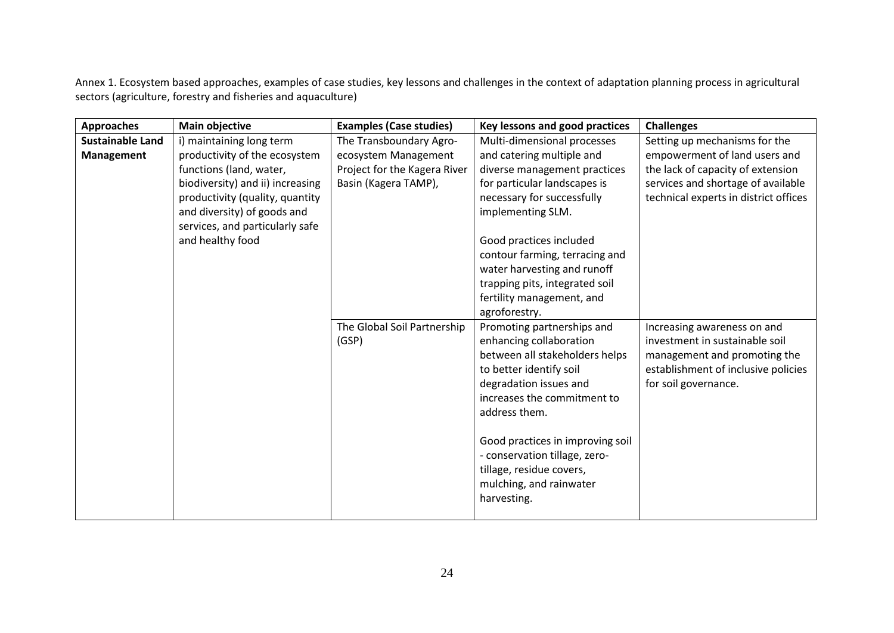Annex 1. Ecosystem based approaches, examples of case studies, key lessons and challenges in the context of adaptation planning process in agricultural sectors (agriculture, forestry and fisheries and aquaculture)

| <b>Approaches</b>       | Main objective                                                                                                                                                                                                        | <b>Examples (Case studies)</b>                                               | Key lessons and good practices                                                                                                                                                                                                                                                                                                          | <b>Challenges</b>                                                                                                                                            |
|-------------------------|-----------------------------------------------------------------------------------------------------------------------------------------------------------------------------------------------------------------------|------------------------------------------------------------------------------|-----------------------------------------------------------------------------------------------------------------------------------------------------------------------------------------------------------------------------------------------------------------------------------------------------------------------------------------|--------------------------------------------------------------------------------------------------------------------------------------------------------------|
| <b>Sustainable Land</b> | i) maintaining long term                                                                                                                                                                                              | The Transboundary Agro-                                                      | Multi-dimensional processes                                                                                                                                                                                                                                                                                                             | Setting up mechanisms for the                                                                                                                                |
| Management              | productivity of the ecosystem<br>functions (land, water,<br>biodiversity) and ii) increasing<br>productivity (quality, quantity<br>and diversity) of goods and<br>services, and particularly safe<br>and healthy food | ecosystem Management<br>Project for the Kagera River<br>Basin (Kagera TAMP), | and catering multiple and<br>diverse management practices<br>for particular landscapes is<br>necessary for successfully<br>implementing SLM.<br>Good practices included<br>contour farming, terracing and<br>water harvesting and runoff<br>trapping pits, integrated soil<br>fertility management, and<br>agroforestry.                | empowerment of land users and<br>the lack of capacity of extension<br>services and shortage of available<br>technical experts in district offices            |
|                         |                                                                                                                                                                                                                       | The Global Soil Partnership<br>(GSP)                                         | Promoting partnerships and<br>enhancing collaboration<br>between all stakeholders helps<br>to better identify soil<br>degradation issues and<br>increases the commitment to<br>address them.<br>Good practices in improving soil<br>- conservation tillage, zero-<br>tillage, residue covers,<br>mulching, and rainwater<br>harvesting. | Increasing awareness on and<br>investment in sustainable soil<br>management and promoting the<br>establishment of inclusive policies<br>for soil governance. |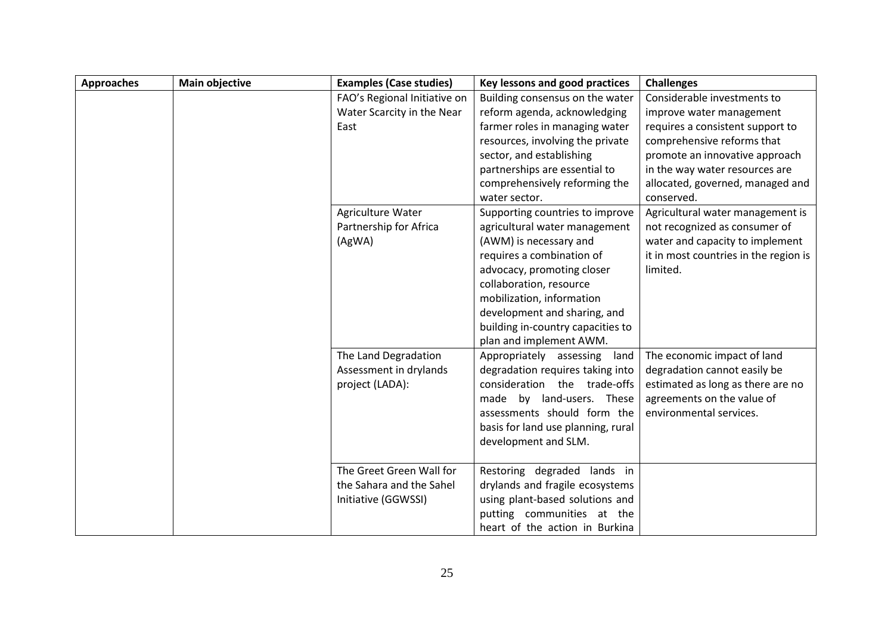| <b>Approaches</b> | <b>Main objective</b> | <b>Examples (Case studies)</b> | Key lessons and good practices     | <b>Challenges</b>                     |
|-------------------|-----------------------|--------------------------------|------------------------------------|---------------------------------------|
|                   |                       | FAO's Regional Initiative on   | Building consensus on the water    | Considerable investments to           |
|                   |                       | Water Scarcity in the Near     | reform agenda, acknowledging       | improve water management              |
|                   |                       | East                           | farmer roles in managing water     | requires a consistent support to      |
|                   |                       |                                | resources, involving the private   | comprehensive reforms that            |
|                   |                       |                                | sector, and establishing           | promote an innovative approach        |
|                   |                       |                                | partnerships are essential to      | in the way water resources are        |
|                   |                       |                                | comprehensively reforming the      | allocated, governed, managed and      |
|                   |                       |                                | water sector.                      | conserved.                            |
|                   |                       | Agriculture Water              | Supporting countries to improve    | Agricultural water management is      |
|                   |                       | Partnership for Africa         | agricultural water management      | not recognized as consumer of         |
|                   |                       | (AgWA)                         | (AWM) is necessary and             | water and capacity to implement       |
|                   |                       |                                | requires a combination of          | it in most countries in the region is |
|                   |                       |                                | advocacy, promoting closer         | limited.                              |
|                   |                       |                                | collaboration, resource            |                                       |
|                   |                       |                                | mobilization, information          |                                       |
|                   |                       |                                | development and sharing, and       |                                       |
|                   |                       |                                | building in-country capacities to  |                                       |
|                   |                       |                                | plan and implement AWM.            |                                       |
|                   |                       | The Land Degradation           | Appropriately assessing<br>land    | The economic impact of land           |
|                   |                       | Assessment in drylands         | degradation requires taking into   | degradation cannot easily be          |
|                   |                       | project (LADA):                | consideration the trade-offs       | estimated as long as there are no     |
|                   |                       |                                | made by land-users. These          | agreements on the value of            |
|                   |                       |                                | assessments should form the        | environmental services.               |
|                   |                       |                                | basis for land use planning, rural |                                       |
|                   |                       |                                | development and SLM.               |                                       |
|                   |                       |                                |                                    |                                       |
|                   |                       | The Greet Green Wall for       | Restoring degraded lands in        |                                       |
|                   |                       | the Sahara and the Sahel       | drylands and fragile ecosystems    |                                       |
|                   |                       | Initiative (GGWSSI)            | using plant-based solutions and    |                                       |
|                   |                       |                                | putting communities at the         |                                       |
|                   |                       |                                | heart of the action in Burkina     |                                       |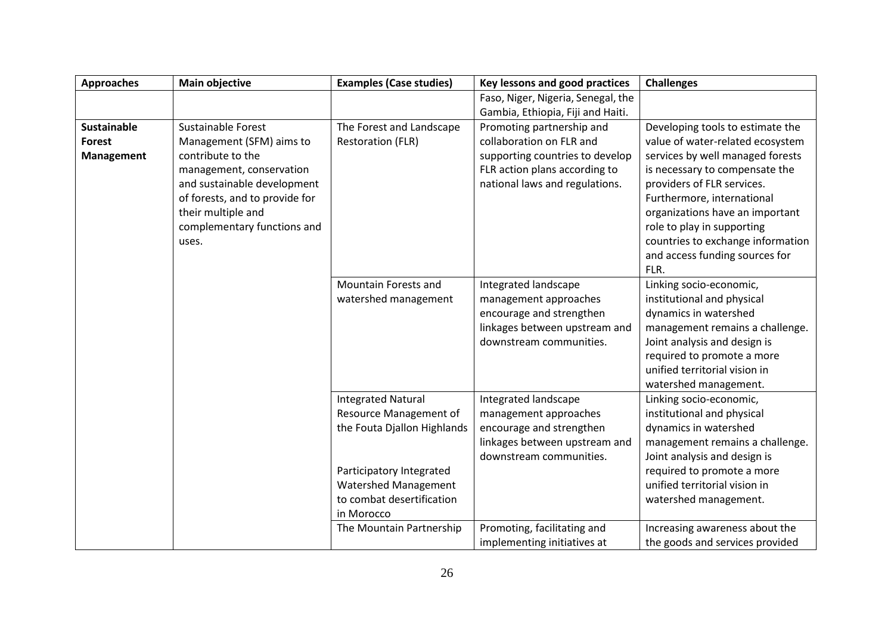| <b>Approaches</b>  | <b>Main objective</b>          | <b>Examples (Case studies)</b> | Key lessons and good practices     | <b>Challenges</b>                 |
|--------------------|--------------------------------|--------------------------------|------------------------------------|-----------------------------------|
|                    |                                |                                | Faso, Niger, Nigeria, Senegal, the |                                   |
|                    |                                |                                | Gambia, Ethiopia, Fiji and Haiti.  |                                   |
| <b>Sustainable</b> | <b>Sustainable Forest</b>      | The Forest and Landscape       | Promoting partnership and          | Developing tools to estimate the  |
| <b>Forest</b>      | Management (SFM) aims to       | <b>Restoration (FLR)</b>       | collaboration on FLR and           | value of water-related ecosystem  |
| <b>Management</b>  | contribute to the              |                                | supporting countries to develop    | services by well managed forests  |
|                    | management, conservation       |                                | FLR action plans according to      | is necessary to compensate the    |
|                    | and sustainable development    |                                | national laws and regulations.     | providers of FLR services.        |
|                    | of forests, and to provide for |                                |                                    | Furthermore, international        |
|                    | their multiple and             |                                |                                    | organizations have an important   |
|                    | complementary functions and    |                                |                                    | role to play in supporting        |
|                    | uses.                          |                                |                                    | countries to exchange information |
|                    |                                |                                |                                    | and access funding sources for    |
|                    |                                |                                |                                    | FLR.                              |
|                    |                                | Mountain Forests and           | Integrated landscape               | Linking socio-economic,           |
|                    |                                | watershed management           | management approaches              | institutional and physical        |
|                    |                                |                                | encourage and strengthen           | dynamics in watershed             |
|                    |                                |                                | linkages between upstream and      | management remains a challenge.   |
|                    |                                |                                | downstream communities.            | Joint analysis and design is      |
|                    |                                |                                |                                    | required to promote a more        |
|                    |                                |                                |                                    | unified territorial vision in     |
|                    |                                |                                |                                    | watershed management.             |
|                    |                                | <b>Integrated Natural</b>      | Integrated landscape               | Linking socio-economic,           |
|                    |                                | Resource Management of         | management approaches              | institutional and physical        |
|                    |                                | the Fouta Djallon Highlands    | encourage and strengthen           | dynamics in watershed             |
|                    |                                |                                | linkages between upstream and      | management remains a challenge.   |
|                    |                                |                                | downstream communities.            | Joint analysis and design is      |
|                    |                                | Participatory Integrated       |                                    | required to promote a more        |
|                    |                                | Watershed Management           |                                    | unified territorial vision in     |
|                    |                                | to combat desertification      |                                    | watershed management.             |
|                    |                                | in Morocco                     |                                    |                                   |
|                    |                                | The Mountain Partnership       | Promoting, facilitating and        | Increasing awareness about the    |
|                    |                                |                                | implementing initiatives at        | the goods and services provided   |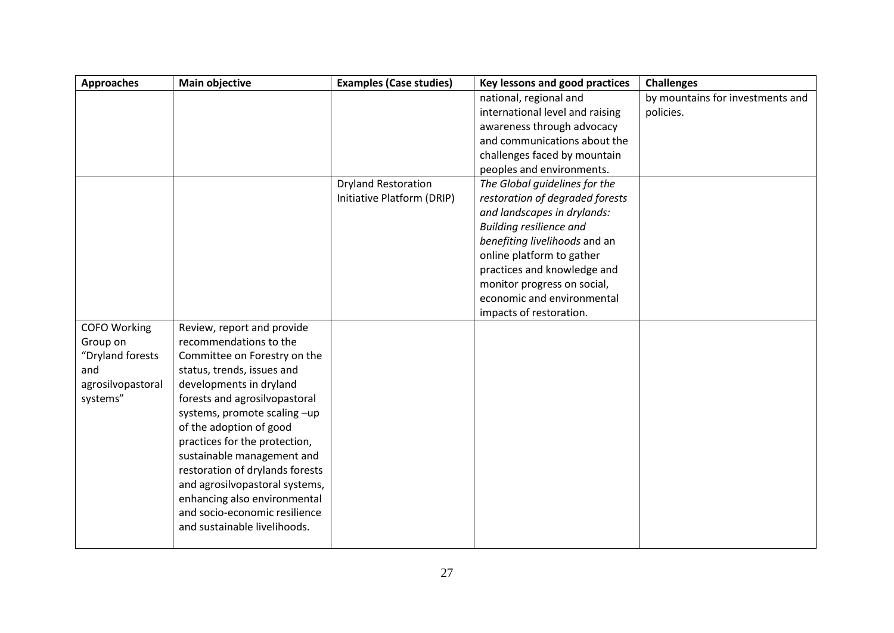| <b>Approaches</b>   | Main objective                  | <b>Examples (Case studies)</b> | Key lessons and good practices  | <b>Challenges</b>                |
|---------------------|---------------------------------|--------------------------------|---------------------------------|----------------------------------|
|                     |                                 |                                | national, regional and          | by mountains for investments and |
|                     |                                 |                                | international level and raising | policies.                        |
|                     |                                 |                                | awareness through advocacy      |                                  |
|                     |                                 |                                | and communications about the    |                                  |
|                     |                                 |                                | challenges faced by mountain    |                                  |
|                     |                                 |                                | peoples and environments.       |                                  |
|                     |                                 | <b>Dryland Restoration</b>     | The Global guidelines for the   |                                  |
|                     |                                 | Initiative Platform (DRIP)     | restoration of degraded forests |                                  |
|                     |                                 |                                | and landscapes in drylands:     |                                  |
|                     |                                 |                                | <b>Building resilience and</b>  |                                  |
|                     |                                 |                                | benefiting livelihoods and an   |                                  |
|                     |                                 |                                | online platform to gather       |                                  |
|                     |                                 |                                | practices and knowledge and     |                                  |
|                     |                                 |                                | monitor progress on social,     |                                  |
|                     |                                 |                                | economic and environmental      |                                  |
|                     |                                 |                                | impacts of restoration.         |                                  |
| <b>COFO Working</b> | Review, report and provide      |                                |                                 |                                  |
| Group on            | recommendations to the          |                                |                                 |                                  |
| "Dryland forests    | Committee on Forestry on the    |                                |                                 |                                  |
| and                 | status, trends, issues and      |                                |                                 |                                  |
| agrosilvopastoral   | developments in dryland         |                                |                                 |                                  |
| systems"            | forests and agrosilvopastoral   |                                |                                 |                                  |
|                     | systems, promote scaling -up    |                                |                                 |                                  |
|                     | of the adoption of good         |                                |                                 |                                  |
|                     | practices for the protection,   |                                |                                 |                                  |
|                     | sustainable management and      |                                |                                 |                                  |
|                     | restoration of drylands forests |                                |                                 |                                  |
|                     | and agrosilvopastoral systems,  |                                |                                 |                                  |
|                     | enhancing also environmental    |                                |                                 |                                  |
|                     | and socio-economic resilience   |                                |                                 |                                  |
|                     | and sustainable livelihoods.    |                                |                                 |                                  |
|                     |                                 |                                |                                 |                                  |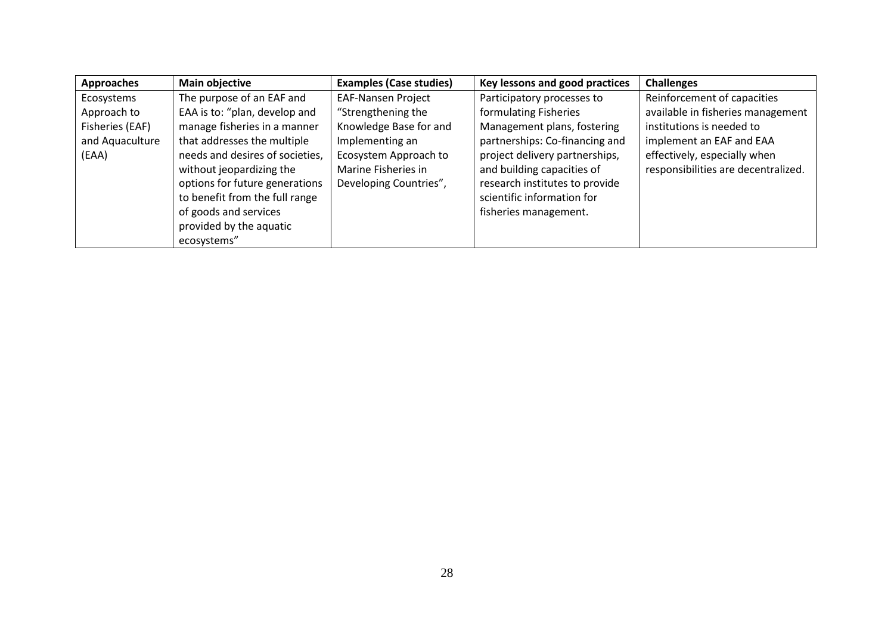| <b>Approaches</b> | <b>Main objective</b>           | <b>Examples (Case studies)</b> | Key lessons and good practices | <b>Challenges</b>                   |
|-------------------|---------------------------------|--------------------------------|--------------------------------|-------------------------------------|
| Ecosystems        | The purpose of an EAF and       | <b>EAF-Nansen Project</b>      | Participatory processes to     | Reinforcement of capacities         |
| Approach to       | EAA is to: "plan, develop and   | "Strengthening the             | formulating Fisheries          | available in fisheries management   |
| Fisheries (EAF)   | manage fisheries in a manner    | Knowledge Base for and         | Management plans, fostering    | institutions is needed to           |
| and Aquaculture   | that addresses the multiple     | Implementing an                | partnerships: Co-financing and | implement an EAF and EAA            |
| (EAA)             | needs and desires of societies, | Ecosystem Approach to          | project delivery partnerships, | effectively, especially when        |
|                   | without jeopardizing the        | Marine Fisheries in            | and building capacities of     | responsibilities are decentralized. |
|                   | options for future generations  | Developing Countries",         | research institutes to provide |                                     |
|                   | to benefit from the full range  |                                | scientific information for     |                                     |
|                   | of goods and services           |                                | fisheries management.          |                                     |
|                   | provided by the aquatic         |                                |                                |                                     |
|                   | ecosystems"                     |                                |                                |                                     |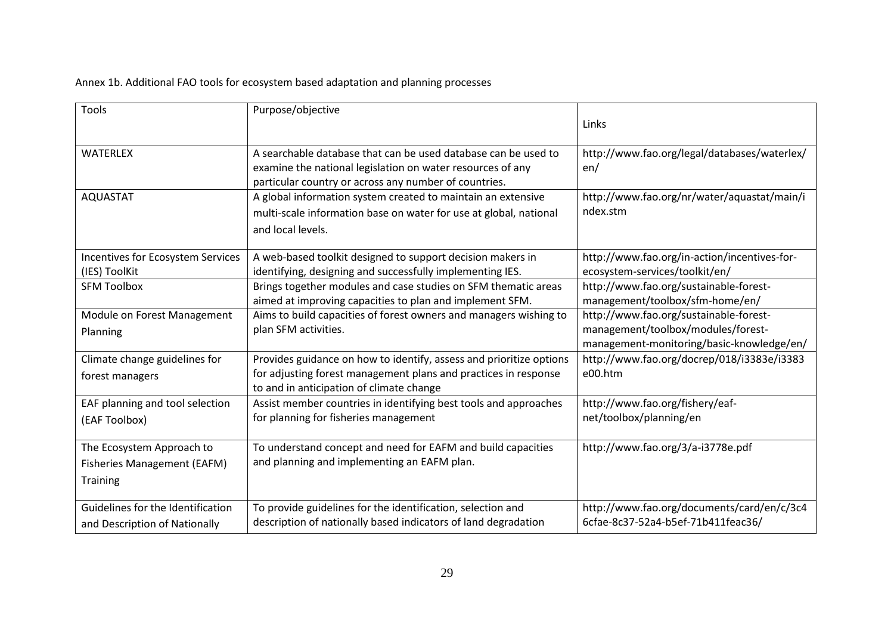Annex 1b. Additional FAO tools for ecosystem based adaptation and planning processes

| <b>Tools</b>                                                                       | Purpose/objective                                                                                                                                                                     | Links                                                                                                                     |
|------------------------------------------------------------------------------------|---------------------------------------------------------------------------------------------------------------------------------------------------------------------------------------|---------------------------------------------------------------------------------------------------------------------------|
| <b>WATERLEX</b>                                                                    | A searchable database that can be used database can be used to<br>examine the national legislation on water resources of any<br>particular country or across any number of countries. | http://www.fao.org/legal/databases/waterlex/<br>en/                                                                       |
| <b>AQUASTAT</b>                                                                    | A global information system created to maintain an extensive<br>multi-scale information base on water for use at global, national<br>and local levels.                                | http://www.fao.org/nr/water/aquastat/main/i<br>ndex.stm                                                                   |
| Incentives for Ecosystem Services<br>(IES) ToolKit                                 | A web-based toolkit designed to support decision makers in<br>identifying, designing and successfully implementing IES.                                                               | http://www.fao.org/in-action/incentives-for-<br>ecosystem-services/toolkit/en/                                            |
| <b>SFM Toolbox</b>                                                                 | Brings together modules and case studies on SFM thematic areas<br>aimed at improving capacities to plan and implement SFM.                                                            | http://www.fao.org/sustainable-forest-<br>management/toolbox/sfm-home/en/                                                 |
| Module on Forest Management<br>Planning                                            | Aims to build capacities of forest owners and managers wishing to<br>plan SFM activities.                                                                                             | http://www.fao.org/sustainable-forest-<br>management/toolbox/modules/forest-<br>management-monitoring/basic-knowledge/en/ |
| Climate change guidelines for<br>forest managers                                   | Provides guidance on how to identify, assess and prioritize options<br>for adjusting forest management plans and practices in response<br>to and in anticipation of climate change    | http://www.fao.org/docrep/018/i3383e/i3383<br>e00.htm                                                                     |
| EAF planning and tool selection<br>(EAF Toolbox)                                   | Assist member countries in identifying best tools and approaches<br>for planning for fisheries management                                                                             | http://www.fao.org/fishery/eaf-<br>net/toolbox/planning/en                                                                |
| The Ecosystem Approach to<br><b>Fisheries Management (EAFM)</b><br><b>Training</b> | To understand concept and need for EAFM and build capacities<br>and planning and implementing an EAFM plan.                                                                           | http://www.fao.org/3/a-i3778e.pdf                                                                                         |
| Guidelines for the Identification<br>and Description of Nationally                 | To provide guidelines for the identification, selection and<br>description of nationally based indicators of land degradation                                                         | http://www.fao.org/documents/card/en/c/3c4<br>6cfae-8c37-52a4-b5ef-71b411feac36/                                          |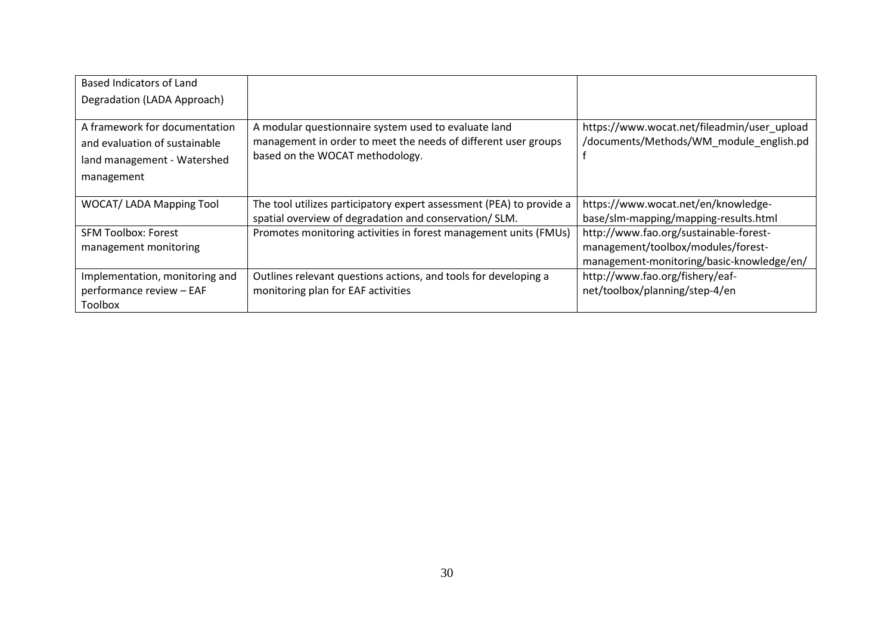| Based Indicators of Land                                                                                    |                                                                                                                                                           |                                                                                        |
|-------------------------------------------------------------------------------------------------------------|-----------------------------------------------------------------------------------------------------------------------------------------------------------|----------------------------------------------------------------------------------------|
| Degradation (LADA Approach)                                                                                 |                                                                                                                                                           |                                                                                        |
| A framework for documentation<br>and evaluation of sustainable<br>land management - Watershed<br>management | A modular questionnaire system used to evaluate land<br>management in order to meet the needs of different user groups<br>based on the WOCAT methodology. | https://www.wocat.net/fileadmin/user_upload<br>/documents/Methods/WM_module_english.pd |
| <b>WOCAT/ LADA Mapping Tool</b>                                                                             | The tool utilizes participatory expert assessment (PEA) to provide a<br>spatial overview of degradation and conservation/ SLM.                            | https://www.wocat.net/en/knowledge-<br>base/slm-mapping/mapping-results.html           |
| <b>SFM Toolbox: Forest</b><br>management monitoring                                                         | Promotes monitoring activities in forest management units (FMUs)                                                                                          | http://www.fao.org/sustainable-forest-<br>management/toolbox/modules/forest-           |
|                                                                                                             |                                                                                                                                                           | management-monitoring/basic-knowledge/en/                                              |
| Implementation, monitoring and                                                                              | Outlines relevant questions actions, and tools for developing a                                                                                           | http://www.fao.org/fishery/eaf-                                                        |
| performance review - EAF                                                                                    | monitoring plan for EAF activities                                                                                                                        | net/toolbox/planning/step-4/en                                                         |
| <b>Toolbox</b>                                                                                              |                                                                                                                                                           |                                                                                        |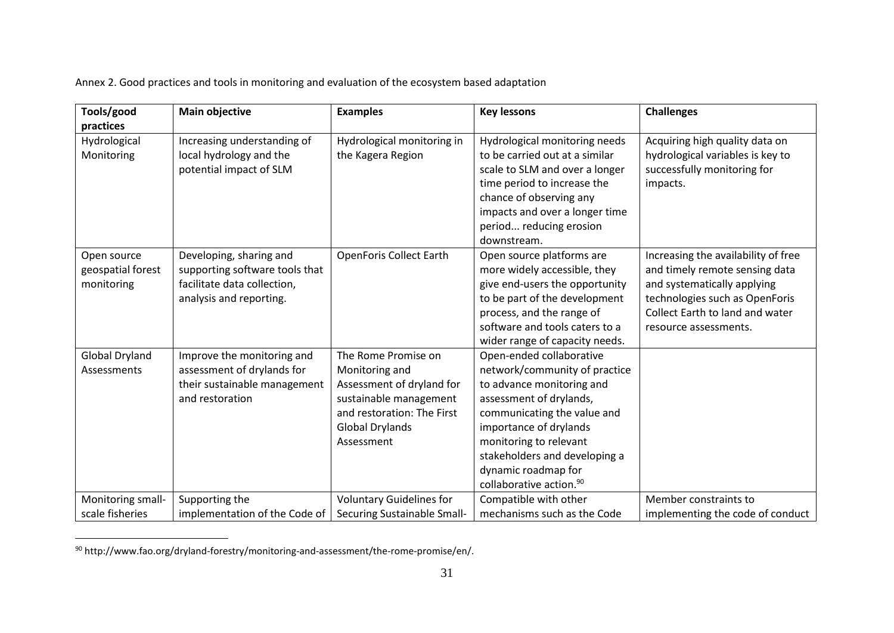Annex 2. Good practices and tools in monitoring and evaluation of the ecosystem based adaptation

| Tools/good                                     | <b>Main objective</b>                                                                                               | <b>Examples</b>                                                                                                                                                    | <b>Key lessons</b>                                                                                                                                                                                                                                                                                  | <b>Challenges</b>                                                                                                                                                                                  |
|------------------------------------------------|---------------------------------------------------------------------------------------------------------------------|--------------------------------------------------------------------------------------------------------------------------------------------------------------------|-----------------------------------------------------------------------------------------------------------------------------------------------------------------------------------------------------------------------------------------------------------------------------------------------------|----------------------------------------------------------------------------------------------------------------------------------------------------------------------------------------------------|
| practices                                      |                                                                                                                     |                                                                                                                                                                    |                                                                                                                                                                                                                                                                                                     |                                                                                                                                                                                                    |
| Hydrological<br>Monitoring                     | Increasing understanding of<br>local hydrology and the<br>potential impact of SLM                                   | Hydrological monitoring in<br>the Kagera Region                                                                                                                    | Hydrological monitoring needs<br>to be carried out at a similar<br>scale to SLM and over a longer<br>time period to increase the<br>chance of observing any<br>impacts and over a longer time<br>period reducing erosion<br>downstream.                                                             | Acquiring high quality data on<br>hydrological variables is key to<br>successfully monitoring for<br>impacts.                                                                                      |
| Open source<br>geospatial forest<br>monitoring | Developing, sharing and<br>supporting software tools that<br>facilitate data collection,<br>analysis and reporting. | <b>OpenForis Collect Earth</b>                                                                                                                                     | Open source platforms are<br>more widely accessible, they<br>give end-users the opportunity<br>to be part of the development<br>process, and the range of<br>software and tools caters to a<br>wider range of capacity needs.                                                                       | Increasing the availability of free<br>and timely remote sensing data<br>and systematically applying<br>technologies such as OpenForis<br>Collect Earth to land and water<br>resource assessments. |
| <b>Global Dryland</b><br>Assessments           | Improve the monitoring and<br>assessment of drylands for<br>their sustainable management<br>and restoration         | The Rome Promise on<br>Monitoring and<br>Assessment of dryland for<br>sustainable management<br>and restoration: The First<br><b>Global Drylands</b><br>Assessment | Open-ended collaborative<br>network/community of practice<br>to advance monitoring and<br>assessment of drylands,<br>communicating the value and<br>importance of drylands<br>monitoring to relevant<br>stakeholders and developing a<br>dynamic roadmap for<br>collaborative action. <sup>90</sup> |                                                                                                                                                                                                    |
| Monitoring small-                              | Supporting the                                                                                                      | <b>Voluntary Guidelines for</b>                                                                                                                                    | Compatible with other                                                                                                                                                                                                                                                                               | Member constraints to                                                                                                                                                                              |
| scale fisheries                                | implementation of the Code of                                                                                       | Securing Sustainable Small-                                                                                                                                        | mechanisms such as the Code                                                                                                                                                                                                                                                                         | implementing the code of conduct                                                                                                                                                                   |

<sup>&</sup>lt;sup>90</sup> http://www.fao.org/dryland-forestry/monitoring-and-assessment/the-rome-promise/en/.

 $\mathcal{L}_{\text{max}}$  , and  $\mathcal{L}_{\text{max}}$ 

<u>.</u>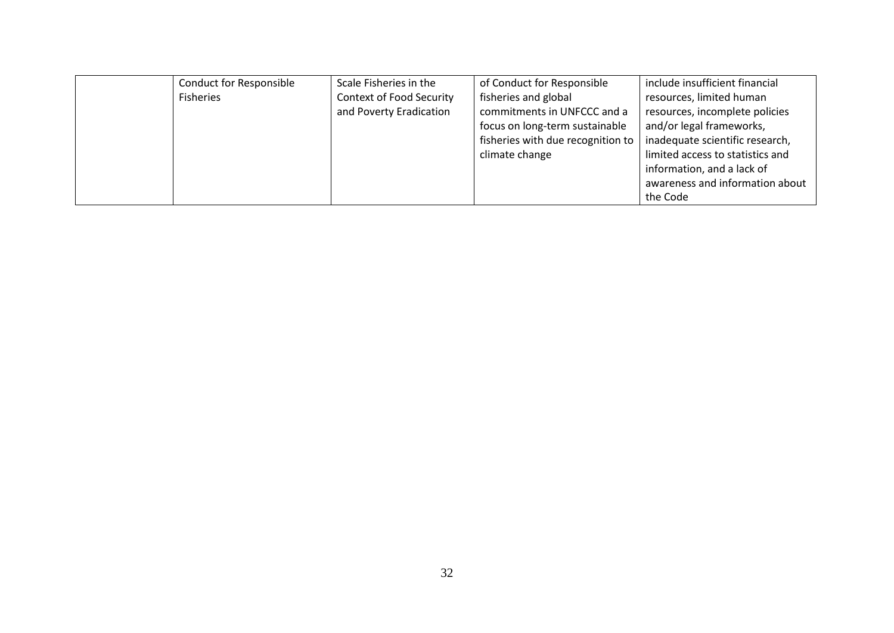| <b>Conduct for Responsible</b> | Scale Fisheries in the          | of Conduct for Responsible        | include insufficient financial   |
|--------------------------------|---------------------------------|-----------------------------------|----------------------------------|
| <b>Fisheries</b>               | <b>Context of Food Security</b> | fisheries and global              | resources, limited human         |
|                                | and Poverty Eradication         | commitments in UNFCCC and a       | resources, incomplete policies   |
|                                |                                 | focus on long-term sustainable    | and/or legal frameworks,         |
|                                |                                 | fisheries with due recognition to | inadequate scientific research,  |
|                                |                                 | climate change                    | limited access to statistics and |
|                                |                                 |                                   | information, and a lack of       |
|                                |                                 |                                   | awareness and information about  |
|                                |                                 |                                   | the Code                         |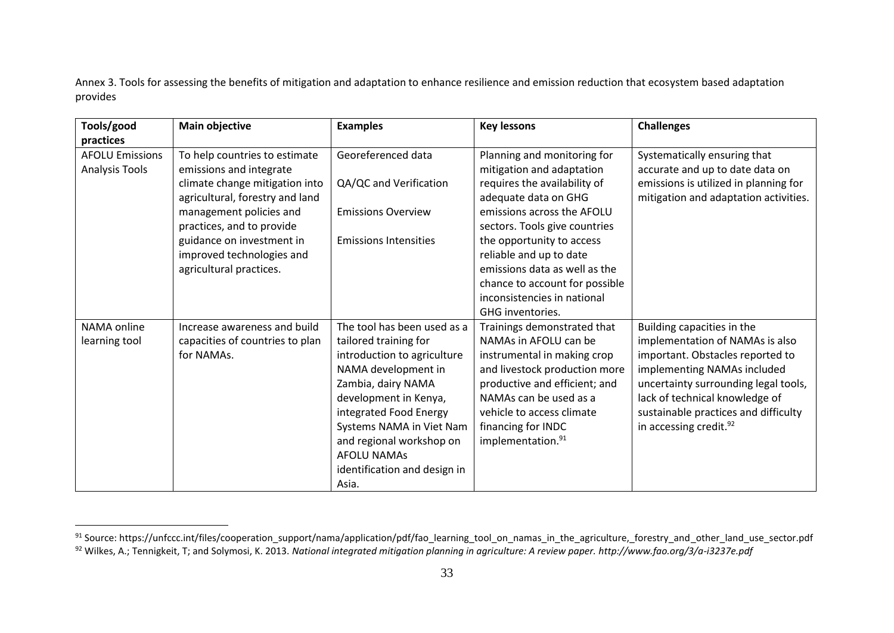Annex 3. Tools for assessing the benefits of mitigation and adaptation to enhance resilience and emission reduction that ecosystem based adaptation provides

| Tools/good             | Main objective                  | <b>Examples</b>              | <b>Key lessons</b>             | <b>Challenges</b>                     |
|------------------------|---------------------------------|------------------------------|--------------------------------|---------------------------------------|
| practices              |                                 |                              |                                |                                       |
| <b>AFOLU Emissions</b> | To help countries to estimate   | Georeferenced data           | Planning and monitoring for    | Systematically ensuring that          |
| Analysis Tools         | emissions and integrate         |                              | mitigation and adaptation      | accurate and up to date data on       |
|                        | climate change mitigation into  | QA/QC and Verification       | requires the availability of   | emissions is utilized in planning for |
|                        | agricultural, forestry and land |                              | adequate data on GHG           | mitigation and adaptation activities. |
|                        | management policies and         | <b>Emissions Overview</b>    | emissions across the AFOLU     |                                       |
|                        | practices, and to provide       |                              | sectors. Tools give countries  |                                       |
|                        | guidance on investment in       | <b>Emissions Intensities</b> | the opportunity to access      |                                       |
|                        | improved technologies and       |                              | reliable and up to date        |                                       |
|                        | agricultural practices.         |                              | emissions data as well as the  |                                       |
|                        |                                 |                              | chance to account for possible |                                       |
|                        |                                 |                              | inconsistencies in national    |                                       |
|                        |                                 |                              | GHG inventories.               |                                       |
| NAMA online            | Increase awareness and build    | The tool has been used as a  | Trainings demonstrated that    | Building capacities in the            |
| learning tool          | capacities of countries to plan | tailored training for        | NAMAs in AFOLU can be          | implementation of NAMAs is also       |
|                        | for NAMAs.                      | introduction to agriculture  | instrumental in making crop    | important. Obstacles reported to      |
|                        |                                 | NAMA development in          | and livestock production more  | implementing NAMAs included           |
|                        |                                 | Zambia, dairy NAMA           | productive and efficient; and  | uncertainty surrounding legal tools,  |
|                        |                                 | development in Kenya,        | NAMAs can be used as a         | lack of technical knowledge of        |
|                        |                                 | integrated Food Energy       | vehicle to access climate      | sustainable practices and difficulty  |
|                        |                                 | Systems NAMA in Viet Nam     | financing for INDC             | in accessing credit. <sup>92</sup>    |
|                        |                                 | and regional workshop on     | implementation. <sup>91</sup>  |                                       |
|                        |                                 | <b>AFOLU NAMAS</b>           |                                |                                       |
|                        |                                 | identification and design in |                                |                                       |
|                        |                                 | Asia.                        |                                |                                       |

1

<sup>91</sup> Source: https://unfccc.int/files/cooperation\_support/nama/application/pdf/fao\_learning\_tool\_on\_namas\_in\_the\_agriculture,\_forestry\_and\_other\_land\_use\_sector.pdf <sup>92</sup> Wilkes, A.; Tennigkeit, T; and Solymosi, K. 2013. *National integrated mitigation planning in agriculture: A review paper. http://www.fao.org/3/a-i3237e.pdf*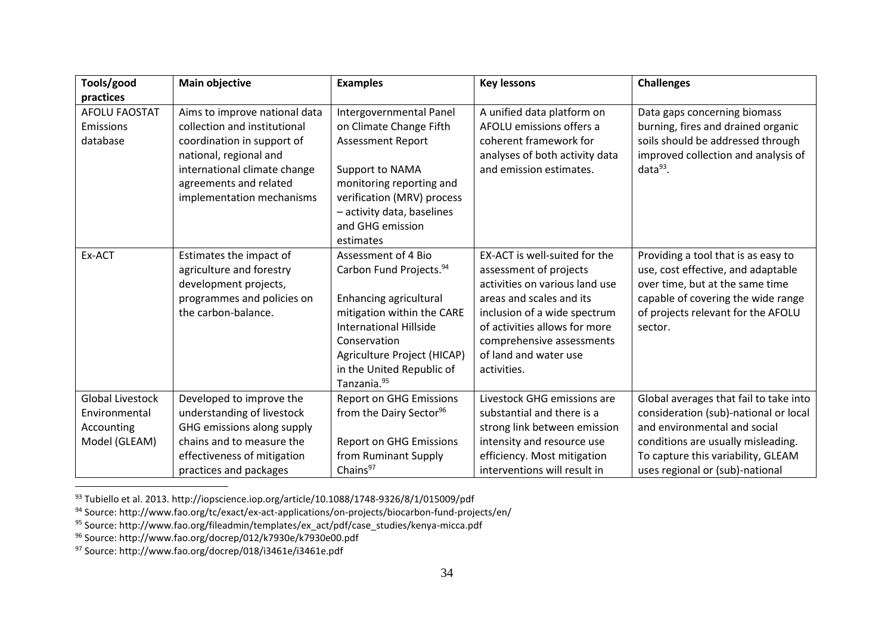| Tools/good                                                              | <b>Main objective</b>                                                                                                                                                                                        | <b>Examples</b>                                                                                                                                                                                                                                            | <b>Key lessons</b>                                                                                                                                                                                                                                          | <b>Challenges</b>                                                                                                                                                                                                              |
|-------------------------------------------------------------------------|--------------------------------------------------------------------------------------------------------------------------------------------------------------------------------------------------------------|------------------------------------------------------------------------------------------------------------------------------------------------------------------------------------------------------------------------------------------------------------|-------------------------------------------------------------------------------------------------------------------------------------------------------------------------------------------------------------------------------------------------------------|--------------------------------------------------------------------------------------------------------------------------------------------------------------------------------------------------------------------------------|
| practices                                                               |                                                                                                                                                                                                              |                                                                                                                                                                                                                                                            |                                                                                                                                                                                                                                                             |                                                                                                                                                                                                                                |
| AFOLU FAOSTAT<br>Emissions<br>database                                  | Aims to improve national data<br>collection and institutional<br>coordination in support of<br>national, regional and<br>international climate change<br>agreements and related<br>implementation mechanisms | Intergovernmental Panel<br>on Climate Change Fifth<br><b>Assessment Report</b><br>Support to NAMA<br>monitoring reporting and<br>verification (MRV) process<br>- activity data, baselines<br>and GHG emission<br>estimates                                 | A unified data platform on<br>AFOLU emissions offers a<br>coherent framework for<br>analyses of both activity data<br>and emission estimates.                                                                                                               | Data gaps concerning biomass<br>burning, fires and drained organic<br>soils should be addressed through<br>improved collection and analysis of<br>$data93$ .                                                                   |
| Ex-ACT                                                                  | Estimates the impact of<br>agriculture and forestry<br>development projects,<br>programmes and policies on<br>the carbon-balance.                                                                            | Assessment of 4 Bio<br>Carbon Fund Projects. <sup>94</sup><br>Enhancing agricultural<br>mitigation within the CARE<br><b>International Hillside</b><br>Conservation<br>Agriculture Project (HICAP)<br>in the United Republic of<br>Tanzania. <sup>95</sup> | EX-ACT is well-suited for the<br>assessment of projects<br>activities on various land use<br>areas and scales and its<br>inclusion of a wide spectrum<br>of activities allows for more<br>comprehensive assessments<br>of land and water use<br>activities. | Providing a tool that is as easy to<br>use, cost effective, and adaptable<br>over time, but at the same time<br>capable of covering the wide range<br>of projects relevant for the AFOLU<br>sector.                            |
| <b>Global Livestock</b><br>Environmental<br>Accounting<br>Model (GLEAM) | Developed to improve the<br>understanding of livestock<br>GHG emissions along supply<br>chains and to measure the<br>effectiveness of mitigation<br>practices and packages                                   | <b>Report on GHG Emissions</b><br>from the Dairy Sector <sup>96</sup><br><b>Report on GHG Emissions</b><br>from Ruminant Supply<br>Chains <sup>97</sup>                                                                                                    | Livestock GHG emissions are<br>substantial and there is a<br>strong link between emission<br>intensity and resource use<br>efficiency. Most mitigation<br>interventions will result in                                                                      | Global averages that fail to take into<br>consideration (sub)-national or local<br>and environmental and social<br>conditions are usually misleading.<br>To capture this variability, GLEAM<br>uses regional or (sub)-national |

 $^{93}$  Tubiello et al. 2013. http://iopscience.iop.org/article/10.1088/1748-9326/8/1/015009/pdf

<sup>97</sup> Source: http://www.fao.org/docrep/018/i3461e/i3461e.pdf

<u>.</u>

<sup>94</sup> Source: http://www.fao.org/tc/exact/ex-act-applications/on-projects/biocarbon-fund-projects/en/

<sup>95</sup> Source: http://www.fao.org/fileadmin/templates/ex\_act/pdf/case\_studies/kenya-micca.pdf

<sup>96</sup> Source: http://www.fao.org/docrep/012/k7930e/k7930e00.pdf